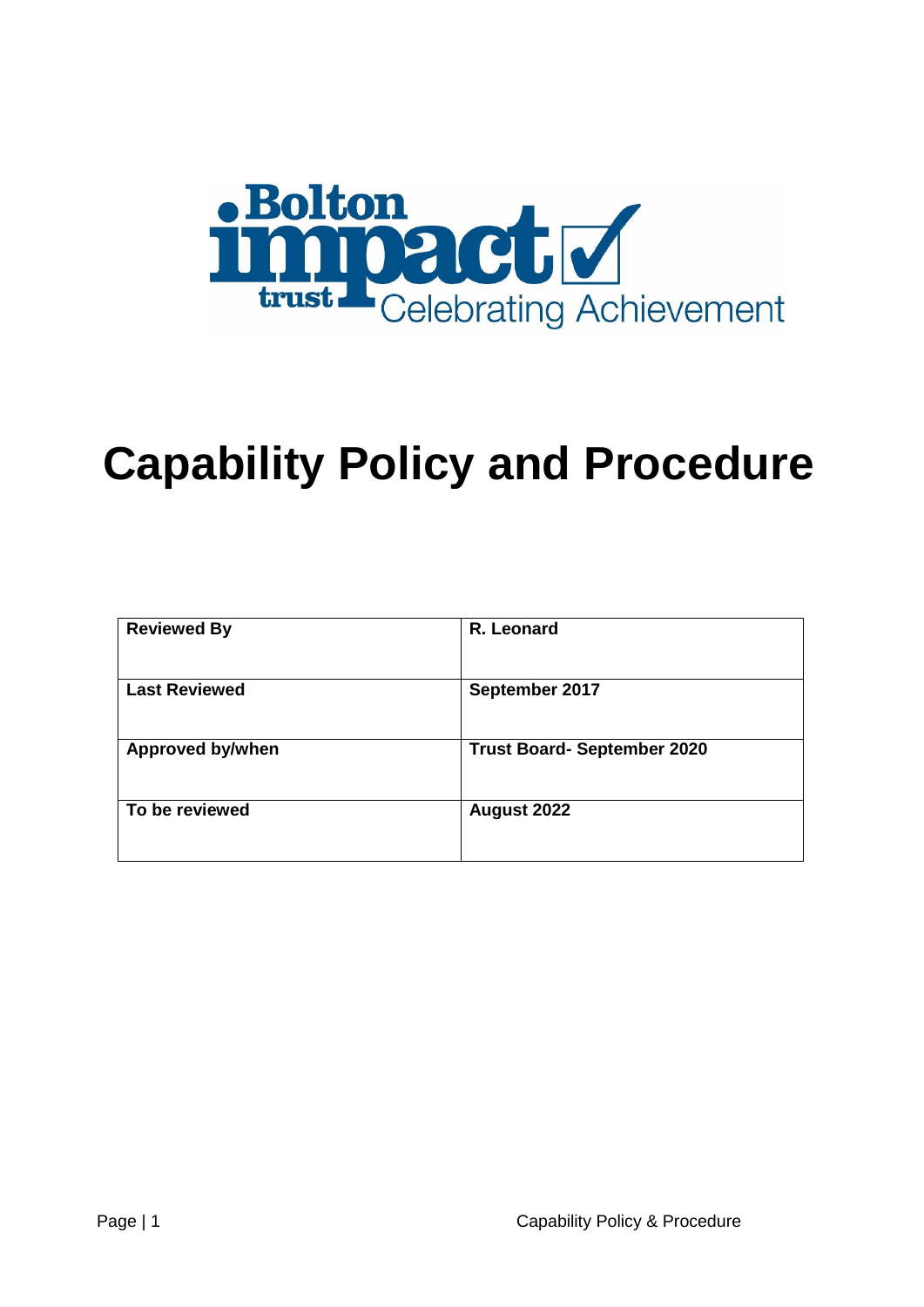

# **Capability Policy and Procedure**

| <b>Reviewed By</b>      | R. Leonard                         |
|-------------------------|------------------------------------|
| <b>Last Reviewed</b>    | September 2017                     |
| <b>Approved by/when</b> | <b>Trust Board- September 2020</b> |
| To be reviewed          | August 2022                        |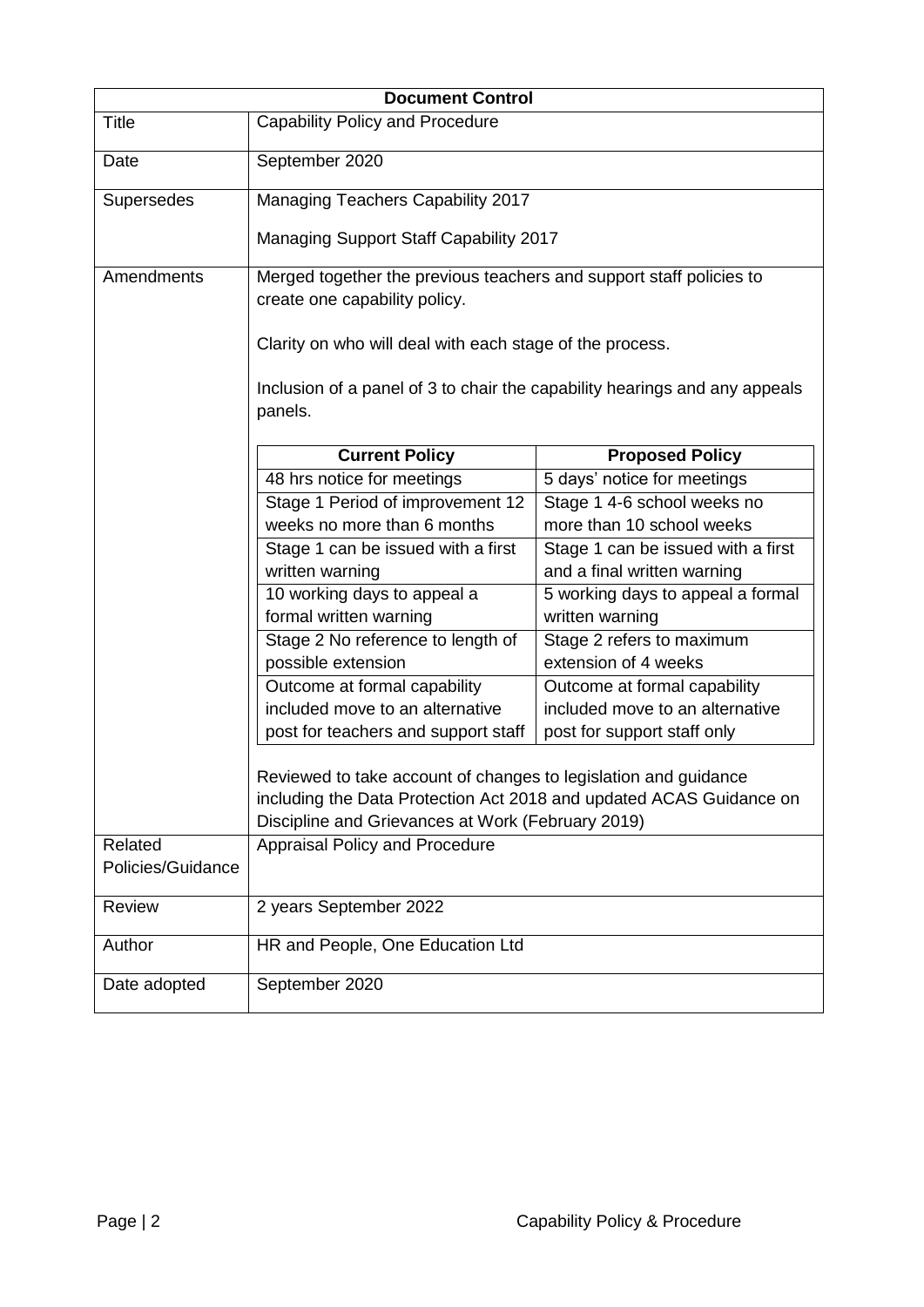|                                                                                                                                                                                             | <b>Document Control</b>                                                                              |                                                      |  |
|---------------------------------------------------------------------------------------------------------------------------------------------------------------------------------------------|------------------------------------------------------------------------------------------------------|------------------------------------------------------|--|
| <b>Title</b>                                                                                                                                                                                | <b>Capability Policy and Procedure</b>                                                               |                                                      |  |
| Date                                                                                                                                                                                        | September 2020                                                                                       |                                                      |  |
| Supersedes                                                                                                                                                                                  | Managing Teachers Capability 2017                                                                    |                                                      |  |
|                                                                                                                                                                                             | Managing Support Staff Capability 2017                                                               |                                                      |  |
| Amendments                                                                                                                                                                                  | Merged together the previous teachers and support staff policies to<br>create one capability policy. |                                                      |  |
|                                                                                                                                                                                             | Clarity on who will deal with each stage of the process.                                             |                                                      |  |
|                                                                                                                                                                                             | Inclusion of a panel of 3 to chair the capability hearings and any appeals<br>panels.                |                                                      |  |
|                                                                                                                                                                                             | <b>Current Policy</b>                                                                                | <b>Proposed Policy</b>                               |  |
|                                                                                                                                                                                             | 48 hrs notice for meetings                                                                           | 5 days' notice for meetings                          |  |
|                                                                                                                                                                                             | Stage 1 Period of improvement 12                                                                     | Stage 1 4-6 school weeks no                          |  |
|                                                                                                                                                                                             | weeks no more than 6 months                                                                          | more than 10 school weeks                            |  |
|                                                                                                                                                                                             | Stage 1 can be issued with a first                                                                   | Stage 1 can be issued with a first                   |  |
|                                                                                                                                                                                             | written warning                                                                                      | and a final written warning                          |  |
|                                                                                                                                                                                             | 10 working days to appeal a<br>formal written warning                                                | 5 working days to appeal a formal<br>written warning |  |
|                                                                                                                                                                                             | Stage 2 No reference to length of                                                                    | Stage 2 refers to maximum                            |  |
|                                                                                                                                                                                             | possible extension                                                                                   | extension of 4 weeks                                 |  |
|                                                                                                                                                                                             | Outcome at formal capability                                                                         | Outcome at formal capability                         |  |
|                                                                                                                                                                                             | included move to an alternative                                                                      | included move to an alternative                      |  |
|                                                                                                                                                                                             | post for teachers and support staff                                                                  | post for support staff only                          |  |
| Reviewed to take account of changes to legislation and guidance<br>including the Data Protection Act 2018 and updated ACAS Guidance on<br>Discipline and Grievances at Work (February 2019) |                                                                                                      |                                                      |  |
| Related                                                                                                                                                                                     | Appraisal Policy and Procedure                                                                       |                                                      |  |
| Policies/Guidance                                                                                                                                                                           |                                                                                                      |                                                      |  |
| <b>Review</b>                                                                                                                                                                               | 2 years September 2022                                                                               |                                                      |  |
| Author                                                                                                                                                                                      | HR and People, One Education Ltd                                                                     |                                                      |  |
| Date adopted                                                                                                                                                                                | September 2020                                                                                       |                                                      |  |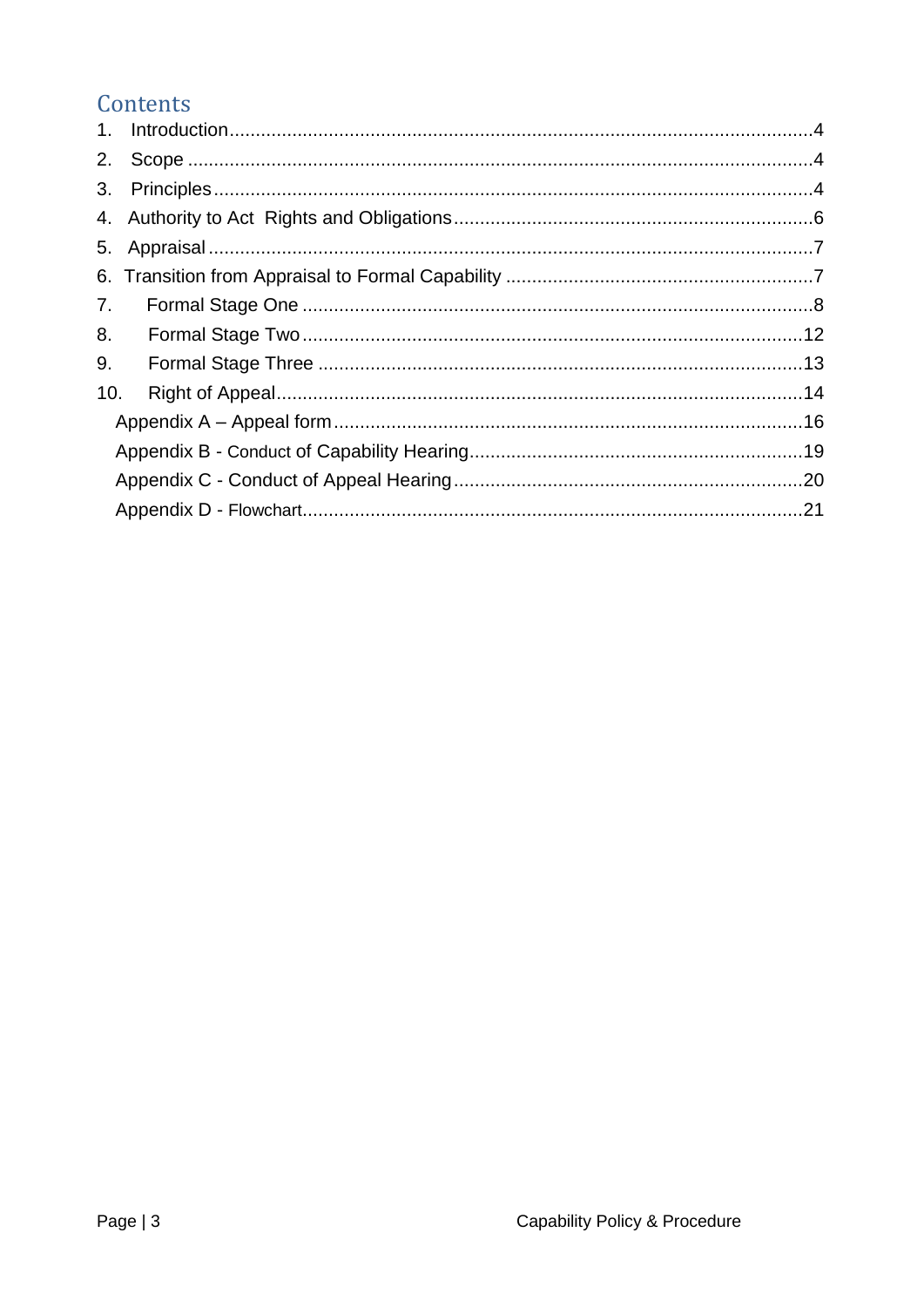## Contents

| 2.  |  |
|-----|--|
| 3.  |  |
|     |  |
|     |  |
|     |  |
| 7.  |  |
| 8.  |  |
| 9.  |  |
| 10. |  |
|     |  |
|     |  |
|     |  |
|     |  |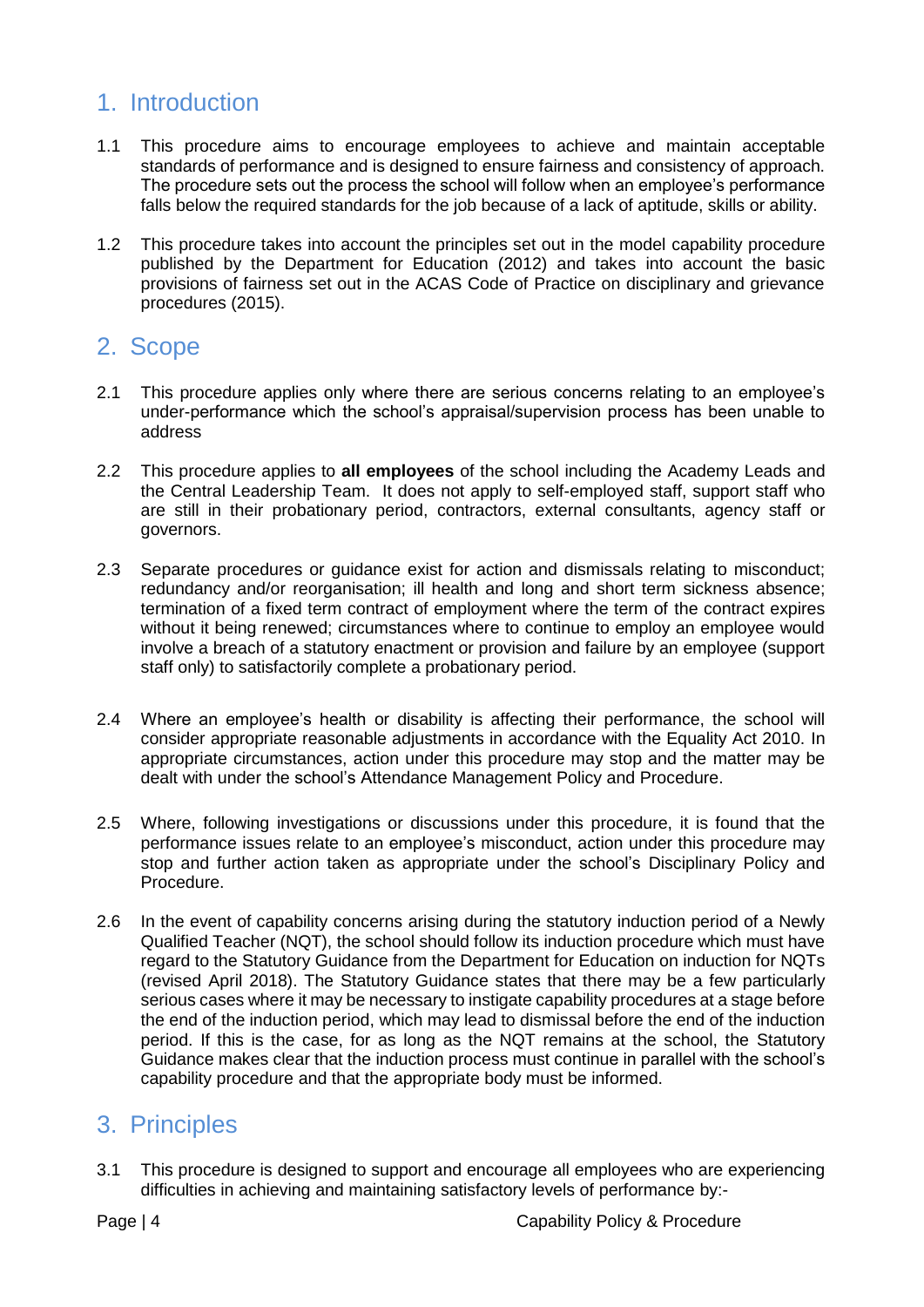#### <span id="page-3-0"></span>1. Introduction

- 1.1 This procedure aims to encourage employees to achieve and maintain acceptable standards of performance and is designed to ensure fairness and consistency of approach. The procedure sets out the process the school will follow when an employee's performance falls below the required standards for the job because of a lack of aptitude, skills or ability.
- 1.2 This procedure takes into account the principles set out in the model capability procedure published by the Department for Education (2012) and takes into account the basic provisions of fairness set out in the ACAS Code of Practice on disciplinary and grievance procedures (2015).

#### <span id="page-3-1"></span>2. Scope

- 2.1 This procedure applies only where there are serious concerns relating to an employee's under-performance which the school's appraisal/supervision process has been unable to address
- 2.2 This procedure applies to **all employees** of the school including the Academy Leads and the Central Leadership Team. It does not apply to self-employed staff, support staff who are still in their probationary period, contractors, external consultants, agency staff or governors.
- 2.3 Separate procedures or guidance exist for action and dismissals relating to misconduct; redundancy and/or reorganisation; ill health and long and short term sickness absence; termination of a fixed term contract of employment where the term of the contract expires without it being renewed; circumstances where to continue to employ an employee would involve a breach of a statutory enactment or provision and failure by an employee (support staff only) to satisfactorily complete a probationary period.
- 2.4 Where an employee's health or disability is affecting their performance, the school will consider appropriate reasonable adjustments in accordance with the Equality Act 2010. In appropriate circumstances, action under this procedure may stop and the matter may be dealt with under the school's Attendance Management Policy and Procedure.
- 2.5 Where, following investigations or discussions under this procedure, it is found that the performance issues relate to an employee's misconduct, action under this procedure may stop and further action taken as appropriate under the school's Disciplinary Policy and Procedure.
- 2.6 In the event of capability concerns arising during the statutory induction period of a Newly Qualified Teacher (NQT), the school should follow its induction procedure which must have regard to the Statutory Guidance from the Department for Education on induction for NQTs (revised April 2018). The Statutory Guidance states that there may be a few particularly serious cases where it may be necessary to instigate capability procedures at a stage before the end of the induction period, which may lead to dismissal before the end of the induction period. If this is the case, for as long as the NQT remains at the school, the Statutory Guidance makes clear that the induction process must continue in parallel with the school's capability procedure and that the appropriate body must be informed.

## <span id="page-3-2"></span>3. Principles

3.1 This procedure is designed to support and encourage all employees who are experiencing difficulties in achieving and maintaining satisfactory levels of performance by:-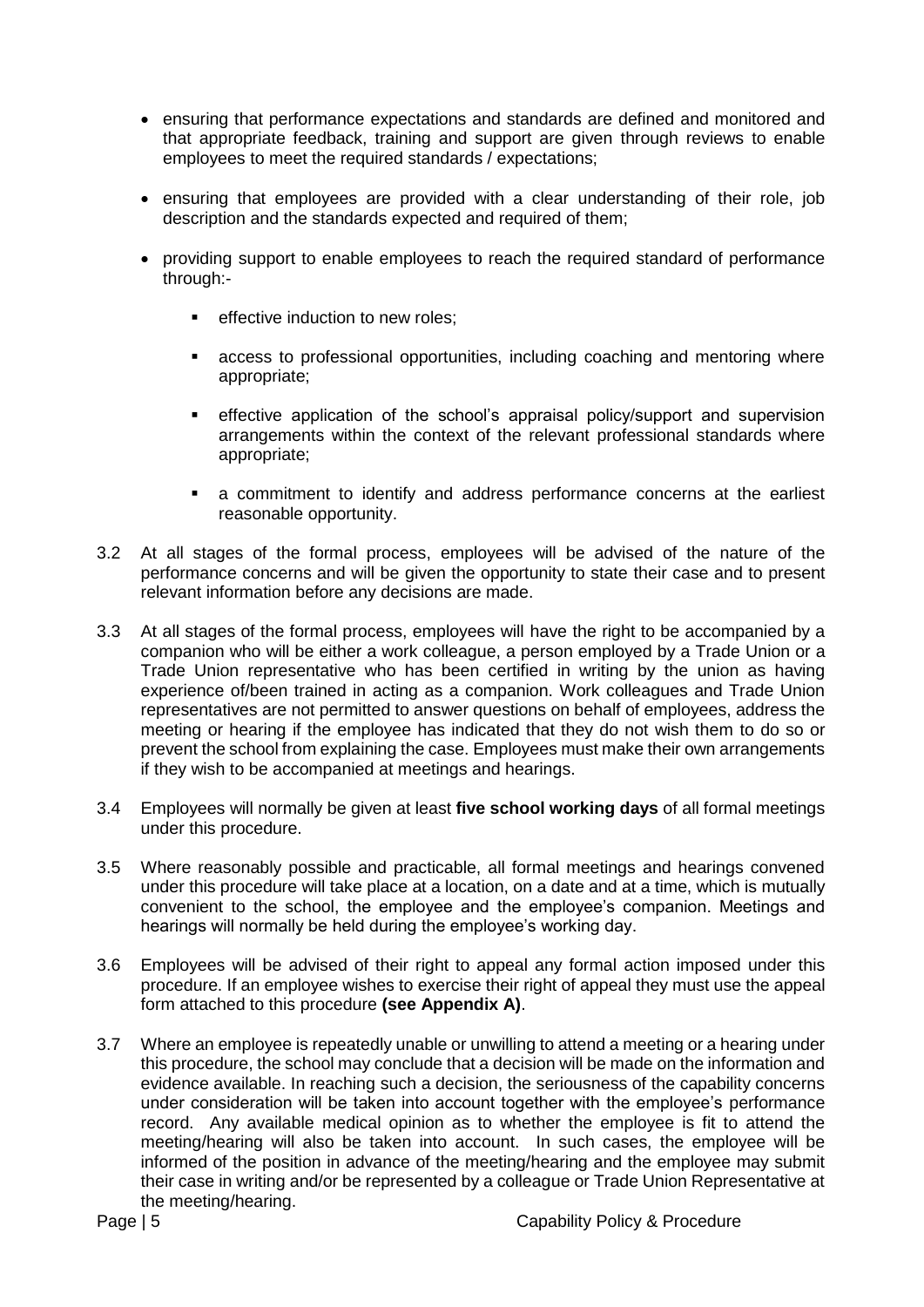- ensuring that performance expectations and standards are defined and monitored and that appropriate feedback, training and support are given through reviews to enable employees to meet the required standards / expectations;
- ensuring that employees are provided with a clear understanding of their role, job description and the standards expected and required of them;
- providing support to enable employees to reach the required standard of performance through:-
	- **EXECTE EXECUTE:** effective induction to new roles:
	- access to professional opportunities, including coaching and mentoring where appropriate;
	- effective application of the school's appraisal policy/support and supervision arrangements within the context of the relevant professional standards where appropriate;
	- a commitment to identify and address performance concerns at the earliest reasonable opportunity.
- 3.2 At all stages of the formal process, employees will be advised of the nature of the performance concerns and will be given the opportunity to state their case and to present relevant information before any decisions are made.
- 3.3 At all stages of the formal process, employees will have the right to be accompanied by a companion who will be either a work colleague, a person employed by a Trade Union or a Trade Union representative who has been certified in writing by the union as having experience of/been trained in acting as a companion. Work colleagues and Trade Union representatives are not permitted to answer questions on behalf of employees, address the meeting or hearing if the employee has indicated that they do not wish them to do so or prevent the school from explaining the case. Employees must make their own arrangements if they wish to be accompanied at meetings and hearings.
- 3.4 Employees will normally be given at least **five school working days** of all formal meetings under this procedure.
- 3.5 Where reasonably possible and practicable, all formal meetings and hearings convened under this procedure will take place at a location, on a date and at a time, which is mutually convenient to the school, the employee and the employee's companion. Meetings and hearings will normally be held during the employee's working day.
- 3.6 Employees will be advised of their right to appeal any formal action imposed under this procedure. If an employee wishes to exercise their right of appeal they must use the appeal form attached to this procedure **(see [Appendix A\)](#page-15-0)**.
- 3.7 Where an employee is repeatedly unable or unwilling to attend a meeting or a hearing under this procedure, the school may conclude that a decision will be made on the information and evidence available. In reaching such a decision, the seriousness of the capability concerns under consideration will be taken into account together with the employee's performance record. Any available medical opinion as to whether the employee is fit to attend the meeting/hearing will also be taken into account. In such cases, the employee will be informed of the position in advance of the meeting/hearing and the employee may submit their case in writing and/or be represented by a colleague or Trade Union Representative at the meeting/hearing.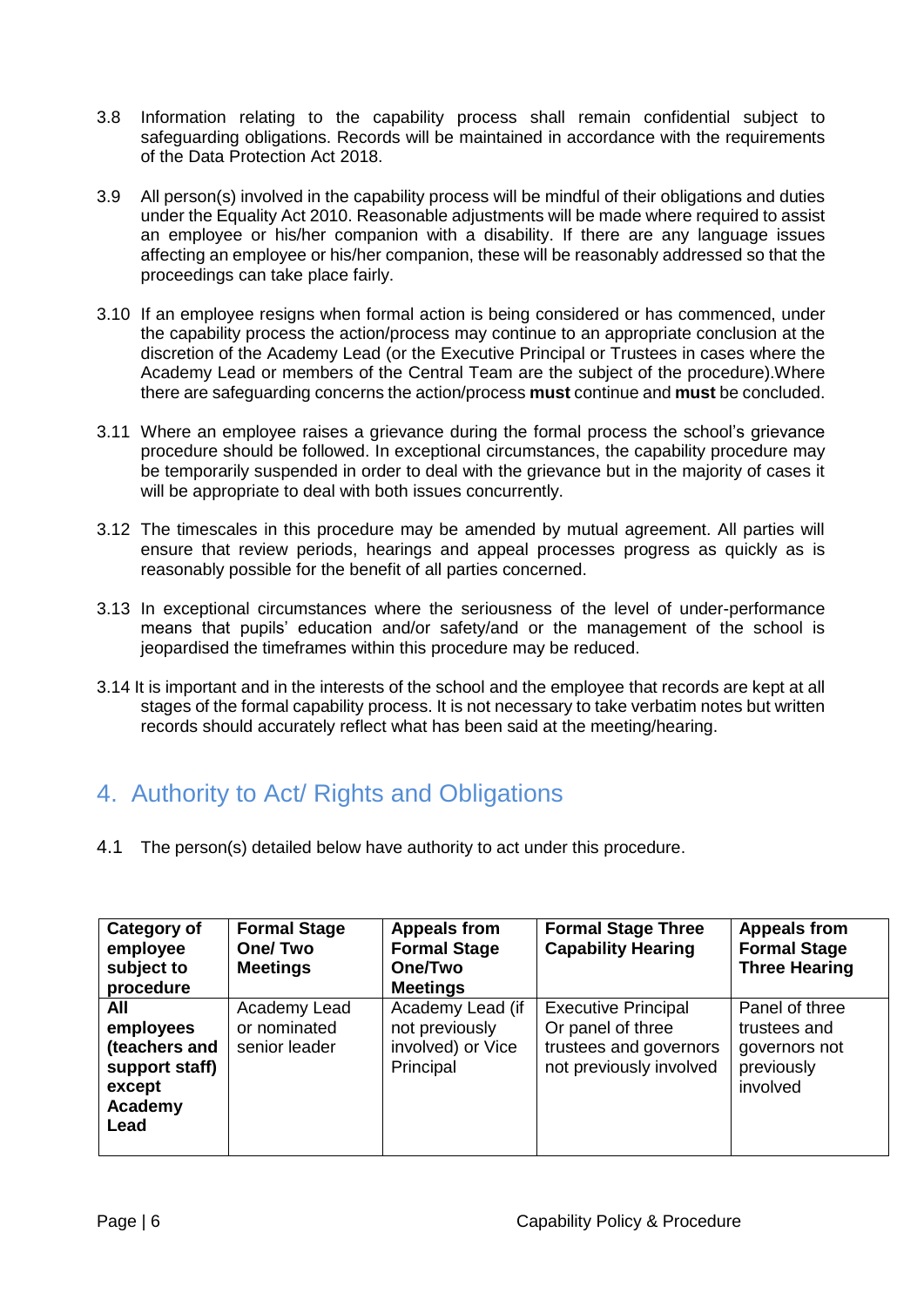- 3.8 Information relating to the capability process shall remain confidential subject to safeguarding obligations. Records will be maintained in accordance with the requirements of the Data Protection Act 2018.
- 3.9 All person(s) involved in the capability process will be mindful of their obligations and duties under the Equality Act 2010. Reasonable adjustments will be made where required to assist an employee or his/her companion with a disability. If there are any language issues affecting an employee or his/her companion, these will be reasonably addressed so that the proceedings can take place fairly.
- 3.10 If an employee resigns when formal action is being considered or has commenced, under the capability process the action/process may continue to an appropriate conclusion at the discretion of the Academy Lead (or the Executive Principal or Trustees in cases where the Academy Lead or members of the Central Team are the subject of the procedure).Where there are safeguarding concerns the action/process **must** continue and **must** be concluded.
- 3.11 Where an employee raises a grievance during the formal process the school's grievance procedure should be followed. In exceptional circumstances, the capability procedure may be temporarily suspended in order to deal with the grievance but in the majority of cases it will be appropriate to deal with both issues concurrently.
- 3.12 The timescales in this procedure may be amended by mutual agreement. All parties will ensure that review periods, hearings and appeal processes progress as quickly as is reasonably possible for the benefit of all parties concerned.
- 3.13 In exceptional circumstances where the seriousness of the level of under-performance means that pupils' education and/or safety/and or the management of the school is jeopardised the timeframes within this procedure may be reduced.
- 3.14 It is important and in the interests of the school and the employee that records are kept at all stages of the formal capability process. It is not necessary to take verbatim notes but written records should accurately reflect what has been said at the meeting/hearing.

## <span id="page-5-0"></span>4. Authority to Act/ Rights and Obligations

4.1 The person(s) detailed below have authority to act under this procedure.

| Category of<br>employee<br>subject to<br>procedure                               | <b>Formal Stage</b><br>One/Two<br><b>Meetings</b> | <b>Appeals from</b><br><b>Formal Stage</b><br>One/Two<br><b>Meetings</b> | <b>Formal Stage Three</b><br><b>Capability Hearing</b>                                               | <b>Appeals from</b><br><b>Formal Stage</b><br><b>Three Hearing</b>        |
|----------------------------------------------------------------------------------|---------------------------------------------------|--------------------------------------------------------------------------|------------------------------------------------------------------------------------------------------|---------------------------------------------------------------------------|
| All<br>employees<br>(teachers and<br>support staff)<br>except<br>Academy<br>Lead | Academy Lead<br>or nominated<br>senior leader     | Academy Lead (if<br>not previously<br>involved) or Vice<br>Principal     | <b>Executive Principal</b><br>Or panel of three<br>trustees and governors<br>not previously involved | Panel of three<br>trustees and<br>governors not<br>previously<br>involved |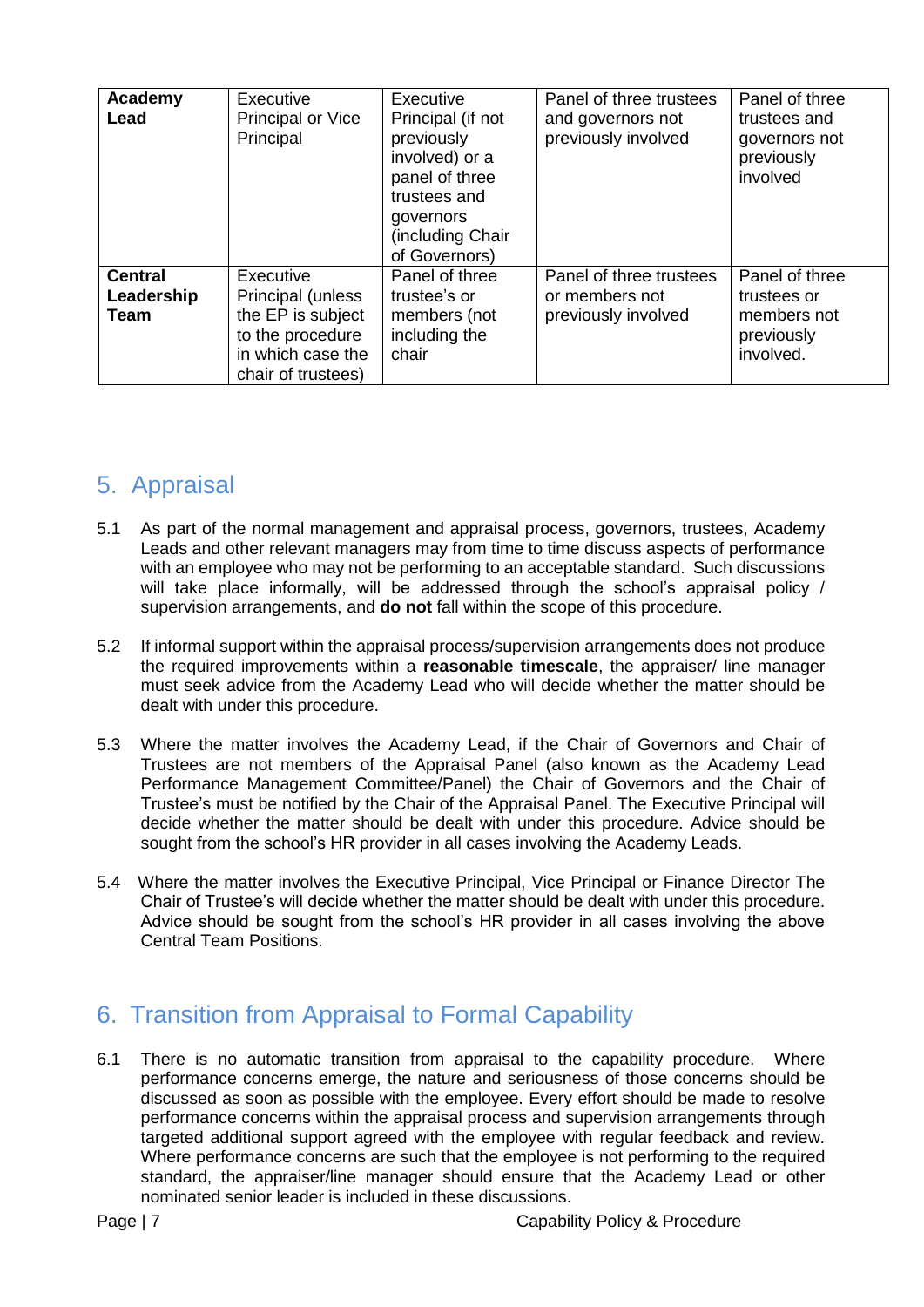| Academy<br>Lead                      | Executive<br>Principal or Vice<br>Principal                                                                        | Executive<br>Principal (if not<br>previously<br>involved) or a<br>panel of three<br>trustees and<br>governors<br>(including Chair)<br>of Governors) | Panel of three trustees<br>and governors not<br>previously involved | Panel of three<br>trustees and<br>governors not<br>previously<br>involved |
|--------------------------------------|--------------------------------------------------------------------------------------------------------------------|-----------------------------------------------------------------------------------------------------------------------------------------------------|---------------------------------------------------------------------|---------------------------------------------------------------------------|
| <b>Central</b><br>Leadership<br>Team | Executive<br>Principal (unless<br>the EP is subject<br>to the procedure<br>in which case the<br>chair of trustees) | Panel of three<br>trustee's or<br>members (not<br>including the<br>chair                                                                            | Panel of three trustees<br>or members not<br>previously involved    | Panel of three<br>trustees or<br>members not<br>previously<br>involved.   |

#### <span id="page-6-0"></span>5. Appraisal

- 5.1 As part of the normal management and appraisal process, governors, trustees, Academy Leads and other relevant managers may from time to time discuss aspects of performance with an employee who may not be performing to an acceptable standard. Such discussions will take place informally, will be addressed through the school's appraisal policy / supervision arrangements, and **do not** fall within the scope of this procedure.
- 5.2 If informal support within the appraisal process/supervision arrangements does not produce the required improvements within a **reasonable timescale**, the appraiser/ line manager must seek advice from the Academy Lead who will decide whether the matter should be dealt with under this procedure.
- 5.3 Where the matter involves the Academy Lead, if the Chair of Governors and Chair of Trustees are not members of the Appraisal Panel (also known as the Academy Lead Performance Management Committee/Panel) the Chair of Governors and the Chair of Trustee's must be notified by the Chair of the Appraisal Panel. The Executive Principal will decide whether the matter should be dealt with under this procedure. Advice should be sought from the school's HR provider in all cases involving the Academy Leads.
- 5.4 Where the matter involves the Executive Principal, Vice Principal or Finance Director The Chair of Trustee's will decide whether the matter should be dealt with under this procedure. Advice should be sought from the school's HR provider in all cases involving the above Central Team Positions.

## <span id="page-6-1"></span>6. Transition from Appraisal to Formal Capability

6.1 There is no automatic transition from appraisal to the capability procedure. Where performance concerns emerge, the nature and seriousness of those concerns should be discussed as soon as possible with the employee. Every effort should be made to resolve performance concerns within the appraisal process and supervision arrangements through targeted additional support agreed with the employee with regular feedback and review. Where performance concerns are such that the employee is not performing to the required standard, the appraiser/line manager should ensure that the Academy Lead or other nominated senior leader is included in these discussions.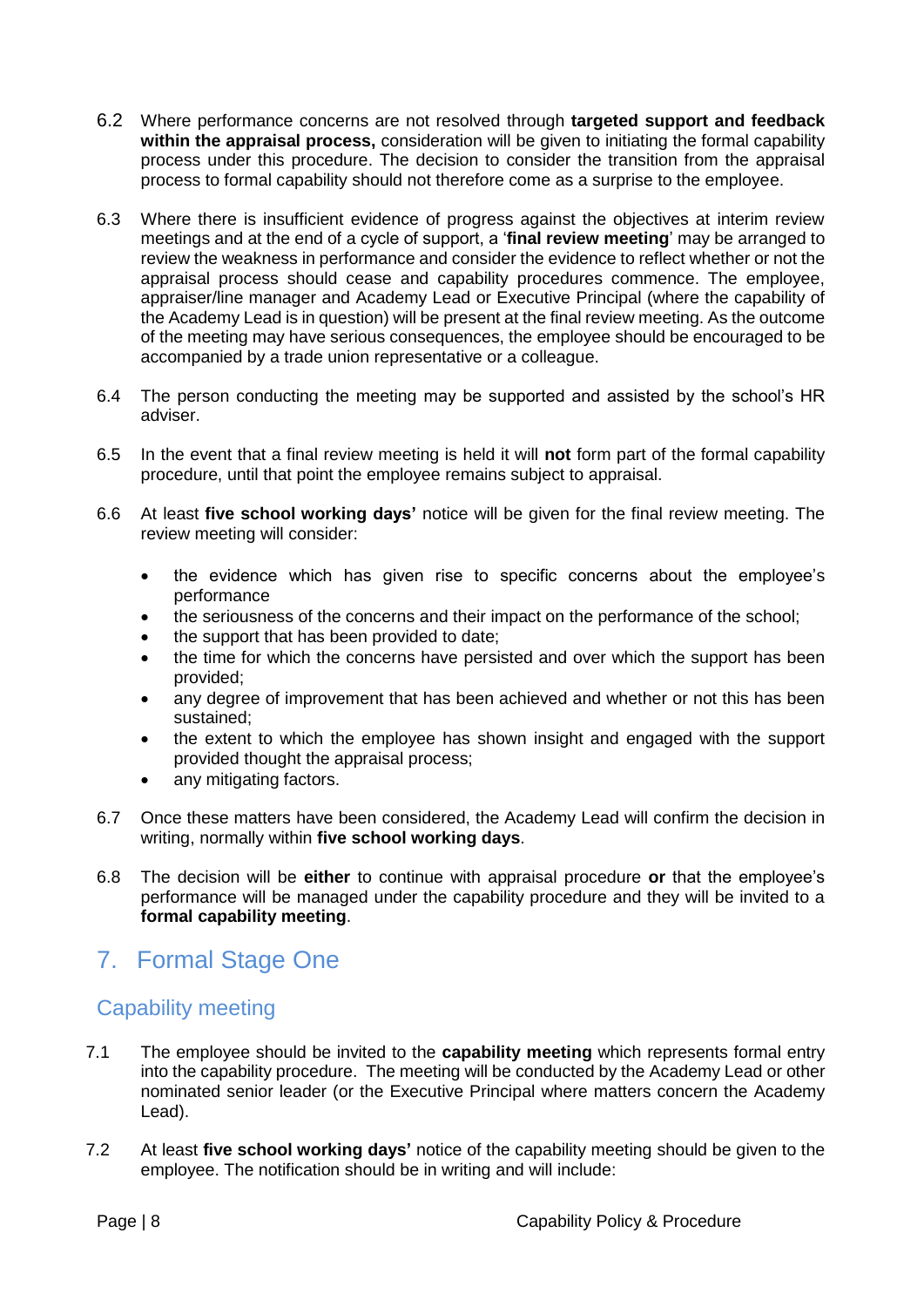- 6.2 Where performance concerns are not resolved through **targeted support and feedback within the appraisal process,** consideration will be given to initiating the formal capability process under this procedure. The decision to consider the transition from the appraisal process to formal capability should not therefore come as a surprise to the employee.
- 6.3 Where there is insufficient evidence of progress against the objectives at interim review meetings and at the end of a cycle of support, a '**final review meeting**' may be arranged to review the weakness in performance and consider the evidence to reflect whether or not the appraisal process should cease and capability procedures commence. The employee, appraiser/line manager and Academy Lead or Executive Principal (where the capability of the Academy Lead is in question) will be present at the final review meeting. As the outcome of the meeting may have serious consequences, the employee should be encouraged to be accompanied by a trade union representative or a colleague.
- 6.4 The person conducting the meeting may be supported and assisted by the school's HR adviser.
- 6.5 In the event that a final review meeting is held it will **not** form part of the formal capability procedure, until that point the employee remains subject to appraisal.
- 6.6 At least **five school working days'** notice will be given for the final review meeting. The review meeting will consider:
	- the evidence which has given rise to specific concerns about the employee's performance
	- the seriousness of the concerns and their impact on the performance of the school;
	- the support that has been provided to date;
	- the time for which the concerns have persisted and over which the support has been provided;
	- any degree of improvement that has been achieved and whether or not this has been sustained;
	- the extent to which the employee has shown insight and engaged with the support provided thought the appraisal process;
	- any mitigating factors.
- 6.7 Once these matters have been considered, the Academy Lead will confirm the decision in writing, normally within **five school working days**.
- 6.8 The decision will be **either** to continue with appraisal procedure **or** that the employee's performance will be managed under the capability procedure and they will be invited to a **formal capability meeting**.

## <span id="page-7-0"></span>7. Formal Stage One

#### Capability meeting

- 7.1 The employee should be invited to the **capability meeting** which represents formal entry into the capability procedure. The meeting will be conducted by the Academy Lead or other nominated senior leader (or the Executive Principal where matters concern the Academy Lead).
- 7.2 At least **five school working days'** notice of the capability meeting should be given to the employee. The notification should be in writing and will include: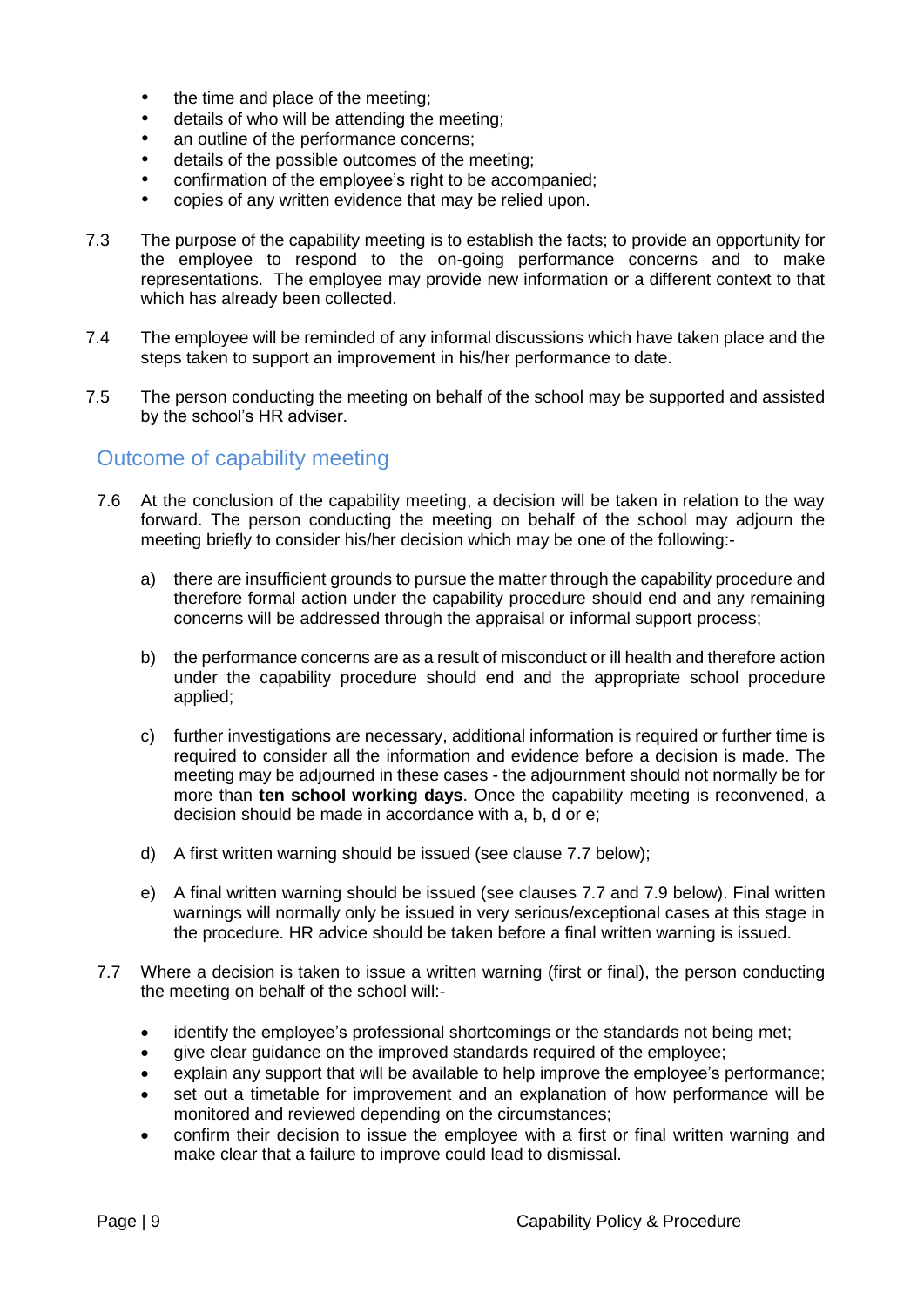- the time and place of the meeting;
- details of who will be attending the meeting;
- an outline of the performance concerns;
- details of the possible outcomes of the meeting;
- confirmation of the employee's right to be accompanied;
- copies of any written evidence that may be relied upon.
- 7.3 The purpose of the capability meeting is to establish the facts; to provide an opportunity for the employee to respond to the on-going performance concerns and to make representations. The employee may provide new information or a different context to that which has already been collected.
- 7.4 The employee will be reminded of any informal discussions which have taken place and the steps taken to support an improvement in his/her performance to date.
- 7.5 The person conducting the meeting on behalf of the school may be supported and assisted by the school's HR adviser.

#### Outcome of capability meeting

- 7.6 At the conclusion of the capability meeting, a decision will be taken in relation to the way forward. The person conducting the meeting on behalf of the school may adjourn the meeting briefly to consider his/her decision which may be one of the following:
	- a) there are insufficient grounds to pursue the matter through the capability procedure and therefore formal action under the capability procedure should end and any remaining concerns will be addressed through the appraisal or informal support process;
	- b) the performance concerns are as a result of misconduct or ill health and therefore action under the capability procedure should end and the appropriate school procedure applied;
	- c) further investigations are necessary, additional information is required or further time is required to consider all the information and evidence before a decision is made. The meeting may be adjourned in these cases - the adjournment should not normally be for more than **ten school working days**. Once the capability meeting is reconvened, a decision should be made in accordance with a, b, d or e;
	- d) A first written warning should be issued (see clause 7.7 below);
	- e) A final written warning should be issued (see clauses 7.7 and 7.9 below). Final written warnings will normally only be issued in very serious/exceptional cases at this stage in the procedure. HR advice should be taken before a final written warning is issued.
- 7.7 Where a decision is taken to issue a written warning (first or final), the person conducting the meeting on behalf of the school will:
	- identify the employee's professional shortcomings or the standards not being met;
	- give clear guidance on the improved standards required of the employee;
	- explain any support that will be available to help improve the employee's performance;
	- set out a timetable for improvement and an explanation of how performance will be monitored and reviewed depending on the circumstances;
	- confirm their decision to issue the employee with a first or final written warning and make clear that a failure to improve could lead to dismissal.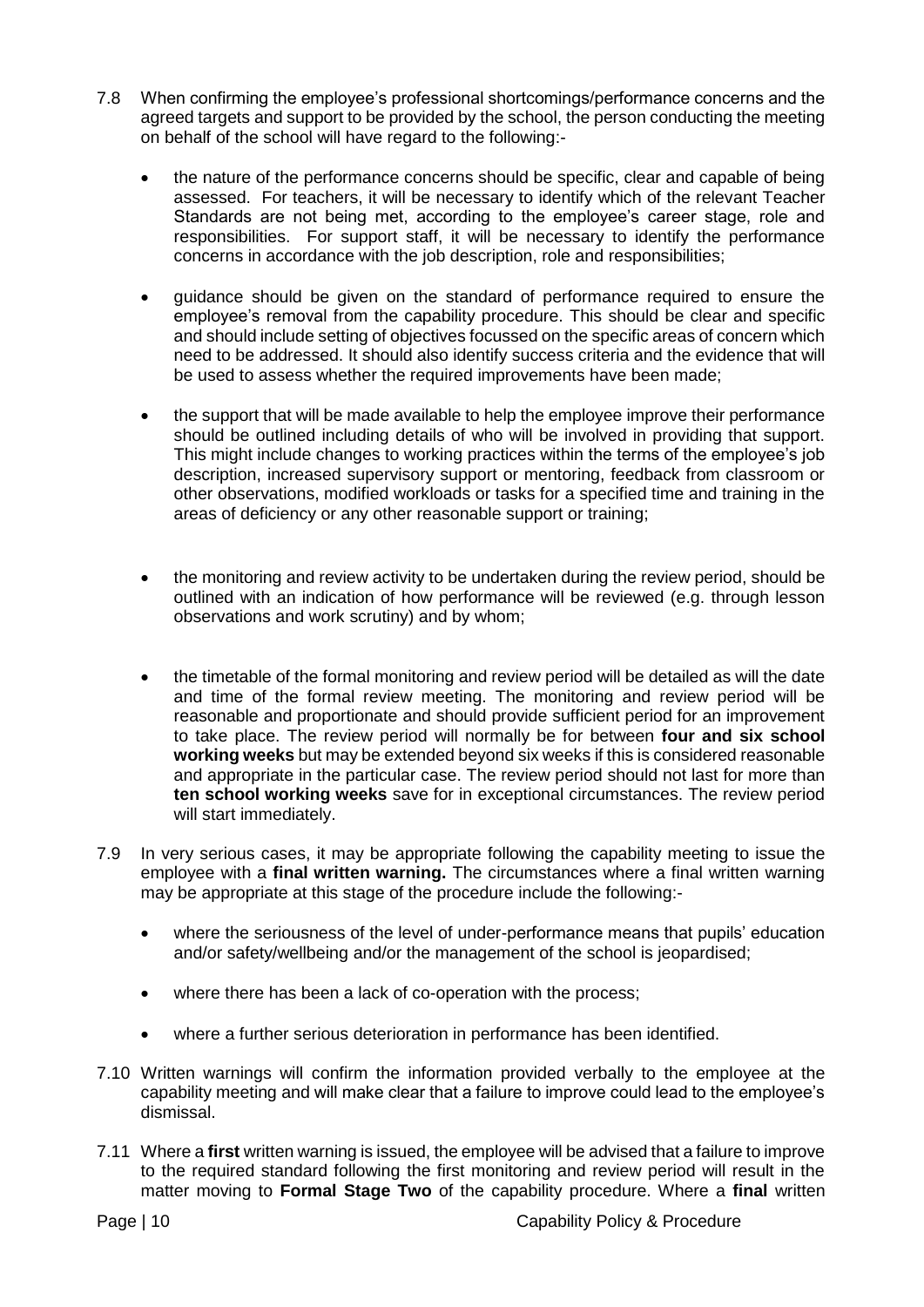- 7.8 When confirming the employee's professional shortcomings/performance concerns and the agreed targets and support to be provided by the school, the person conducting the meeting on behalf of the school will have regard to the following:
	- the nature of the performance concerns should be specific, clear and capable of being assessed. For teachers, it will be necessary to identify which of the relevant Teacher Standards are not being met, according to the employee's career stage, role and responsibilities. For support staff, it will be necessary to identify the performance concerns in accordance with the job description, role and responsibilities;
	- guidance should be given on the standard of performance required to ensure the employee's removal from the capability procedure. This should be clear and specific and should include setting of objectives focussed on the specific areas of concern which need to be addressed. It should also identify success criteria and the evidence that will be used to assess whether the required improvements have been made;
	- the support that will be made available to help the employee improve their performance should be outlined including details of who will be involved in providing that support. This might include changes to working practices within the terms of the employee's job description, increased supervisory support or mentoring, feedback from classroom or other observations, modified workloads or tasks for a specified time and training in the areas of deficiency or any other reasonable support or training;
	- the monitoring and review activity to be undertaken during the review period, should be outlined with an indication of how performance will be reviewed (e.g. through lesson observations and work scrutiny) and by whom;
	- the timetable of the formal monitoring and review period will be detailed as will the date and time of the formal review meeting. The monitoring and review period will be reasonable and proportionate and should provide sufficient period for an improvement to take place. The review period will normally be for between **four and six school working weeks** but may be extended beyond six weeks if this is considered reasonable and appropriate in the particular case. The review period should not last for more than **ten school working weeks** save for in exceptional circumstances. The review period will start immediately.
- 7.9 In very serious cases, it may be appropriate following the capability meeting to issue the employee with a **final written warning.** The circumstances where a final written warning may be appropriate at this stage of the procedure include the following:
	- where the seriousness of the level of under-performance means that pupils' education and/or safety/wellbeing and/or the management of the school is jeopardised;
	- where there has been a lack of co-operation with the process;
	- where a further serious deterioration in performance has been identified.
- 7.10 Written warnings will confirm the information provided verbally to the employee at the capability meeting and will make clear that a failure to improve could lead to the employee's dismissal.
- 7.11 Where a **first** written warning is issued, the employee will be advised that a failure to improve to the required standard following the first monitoring and review period will result in the matter moving to **Formal Stage Two** of the capability procedure. Where a **final** written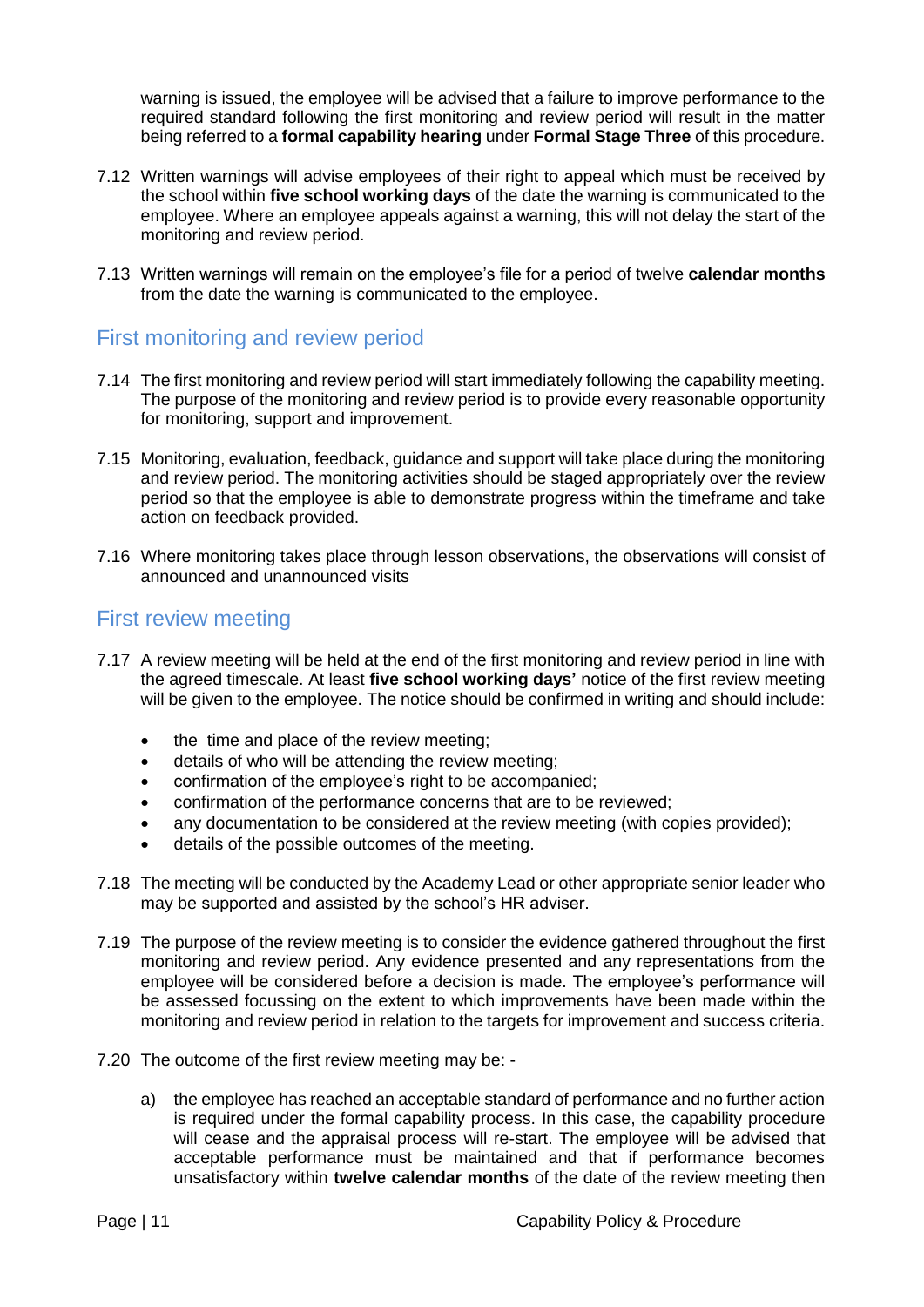warning is issued, the employee will be advised that a failure to improve performance to the required standard following the first monitoring and review period will result in the matter being referred to a **formal capability hearing** under **Formal Stage Three** of this procedure.

- 7.12 Written warnings will advise employees of their right to appeal which must be received by the school within **five school working days** of the date the warning is communicated to the employee. Where an employee appeals against a warning, this will not delay the start of the monitoring and review period.
- 7.13 Written warnings will remain on the employee's file for a period of twelve **calendar months**  from the date the warning is communicated to the employee.

#### First monitoring and review period

- 7.14 The first monitoring and review period will start immediately following the capability meeting. The purpose of the monitoring and review period is to provide every reasonable opportunity for monitoring, support and improvement.
- 7.15 Monitoring, evaluation, feedback, guidance and support will take place during the monitoring and review period. The monitoring activities should be staged appropriately over the review period so that the employee is able to demonstrate progress within the timeframe and take action on feedback provided.
- 7.16 Where monitoring takes place through lesson observations, the observations will consist of announced and unannounced visits

#### First review meeting

- 7.17 A review meeting will be held at the end of the first monitoring and review period in line with the agreed timescale. At least **five school working days'** notice of the first review meeting will be given to the employee. The notice should be confirmed in writing and should include:
	- the time and place of the review meeting:
	- **•** details of who will be attending the review meeting;
	- confirmation of the employee's right to be accompanied;
	- confirmation of the performance concerns that are to be reviewed;
	- any documentation to be considered at the review meeting (with copies provided);
	- details of the possible outcomes of the meeting.
- 7.18 The meeting will be conducted by the Academy Lead or other appropriate senior leader who may be supported and assisted by the school's HR adviser.
- 7.19 The purpose of the review meeting is to consider the evidence gathered throughout the first monitoring and review period. Any evidence presented and any representations from the employee will be considered before a decision is made. The employee's performance will be assessed focussing on the extent to which improvements have been made within the monitoring and review period in relation to the targets for improvement and success criteria.
- 7.20 The outcome of the first review meeting may be:
	- a) the employee has reached an acceptable standard of performance and no further action is required under the formal capability process. In this case, the capability procedure will cease and the appraisal process will re-start. The employee will be advised that acceptable performance must be maintained and that if performance becomes unsatisfactory within **twelve calendar months** of the date of the review meeting then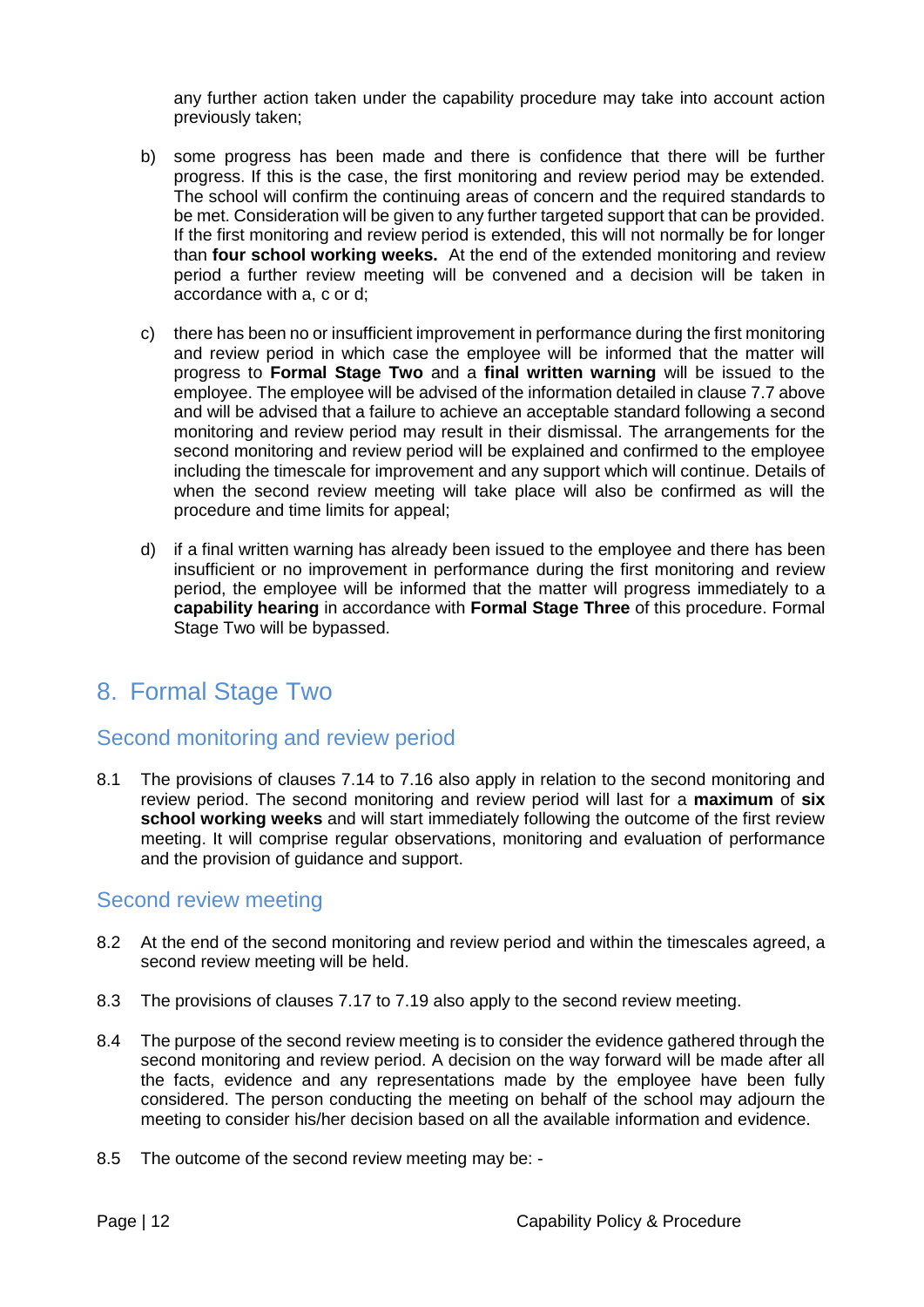any further action taken under the capability procedure may take into account action previously taken;

- b) some progress has been made and there is confidence that there will be further progress. If this is the case, the first monitoring and review period may be extended. The school will confirm the continuing areas of concern and the required standards to be met. Consideration will be given to any further targeted support that can be provided. If the first monitoring and review period is extended, this will not normally be for longer than **four school working weeks.** At the end of the extended monitoring and review period a further review meeting will be convened and a decision will be taken in accordance with a, c or d;
- c) there has been no or insufficient improvement in performance during the first monitoring and review period in which case the employee will be informed that the matter will progress to **Formal Stage Two** and a **final written warning** will be issued to the employee. The employee will be advised of the information detailed in clause 7.7 above and will be advised that a failure to achieve an acceptable standard following a second monitoring and review period may result in their dismissal. The arrangements for the second monitoring and review period will be explained and confirmed to the employee including the timescale for improvement and any support which will continue. Details of when the second review meeting will take place will also be confirmed as will the procedure and time limits for appeal;
- d) if a final written warning has already been issued to the employee and there has been insufficient or no improvement in performance during the first monitoring and review period, the employee will be informed that the matter will progress immediately to a **capability hearing** in accordance with **Formal Stage Three** of this procedure. Formal Stage Two will be bypassed.

## <span id="page-11-0"></span>8. Formal Stage Two

#### Second monitoring and review period

8.1 The provisions of clauses 7.14 to 7.16 also apply in relation to the second monitoring and review period. The second monitoring and review period will last for a **maximum** of **six school working weeks** and will start immediately following the outcome of the first review meeting. It will comprise regular observations, monitoring and evaluation of performance and the provision of guidance and support.

#### Second review meeting

- 8.2 At the end of the second monitoring and review period and within the timescales agreed, a second review meeting will be held.
- 8.3 The provisions of clauses 7.17 to 7.19 also apply to the second review meeting.
- 8.4 The purpose of the second review meeting is to consider the evidence gathered through the second monitoring and review period. A decision on the way forward will be made after all the facts, evidence and any representations made by the employee have been fully considered. The person conducting the meeting on behalf of the school may adjourn the meeting to consider his/her decision based on all the available information and evidence.
- 8.5 The outcome of the second review meeting may be: -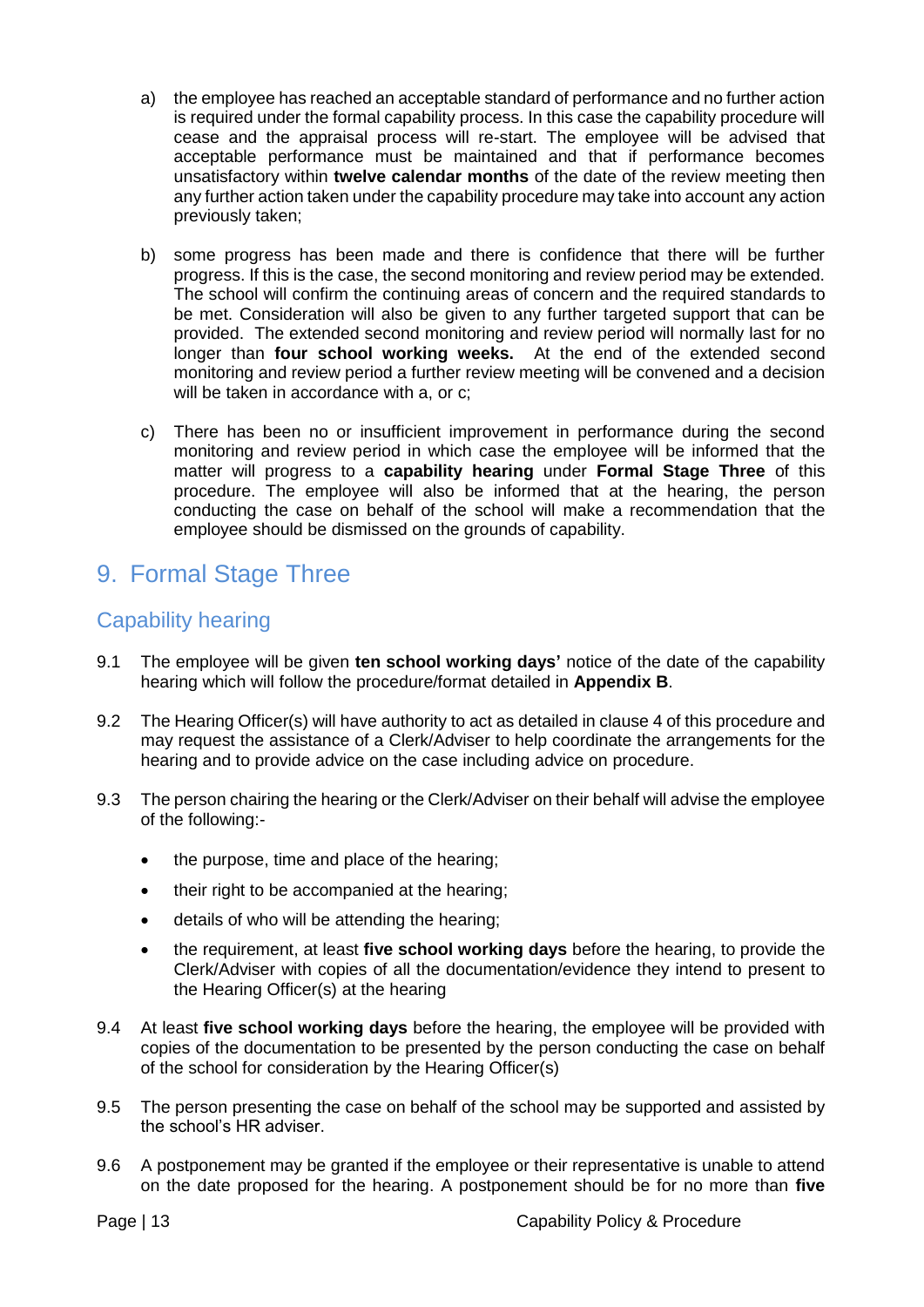- a) the employee has reached an acceptable standard of performance and no further action is required under the formal capability process. In this case the capability procedure will cease and the appraisal process will re-start. The employee will be advised that acceptable performance must be maintained and that if performance becomes unsatisfactory within **twelve calendar months** of the date of the review meeting then any further action taken under the capability procedure may take into account any action previously taken;
- b) some progress has been made and there is confidence that there will be further progress. If this is the case, the second monitoring and review period may be extended. The school will confirm the continuing areas of concern and the required standards to be met. Consideration will also be given to any further targeted support that can be provided. The extended second monitoring and review period will normally last for no longer than **four school working weeks.** At the end of the extended second monitoring and review period a further review meeting will be convened and a decision will be taken in accordance with a, or c;
- c) There has been no or insufficient improvement in performance during the second monitoring and review period in which case the employee will be informed that the matter will progress to a **capability hearing** under **Formal Stage Three** of this procedure. The employee will also be informed that at the hearing, the person conducting the case on behalf of the school will make a recommendation that the employee should be dismissed on the grounds of capability.

## <span id="page-12-0"></span>9. Formal Stage Three

#### Capability hearing

- 9.1 The employee will be given **ten school working days'** notice of the date of the capability hearing which will follow the procedure/format detailed in **[Appendix B](#page-18-0)**.
- 9.2 The Hearing Officer(s) will have authority to act as detailed in clause 4 of this procedure and may request the assistance of a Clerk/Adviser to help coordinate the arrangements for the hearing and to provide advice on the case including advice on procedure.
- 9.3 The person chairing the hearing or the Clerk/Adviser on their behalf will advise the employee of the following:-
	- the purpose, time and place of the hearing;
	- their right to be accompanied at the hearing;
	- details of who will be attending the hearing;
	- the requirement, at least **five school working days** before the hearing, to provide the Clerk/Adviser with copies of all the documentation/evidence they intend to present to the Hearing Officer(s) at the hearing
- 9.4 At least **five school working days** before the hearing, the employee will be provided with copies of the documentation to be presented by the person conducting the case on behalf of the school for consideration by the Hearing Officer(s)
- 9.5 The person presenting the case on behalf of the school may be supported and assisted by the school's HR adviser.
- 9.6 A postponement may be granted if the employee or their representative is unable to attend on the date proposed for the hearing. A postponement should be for no more than **five**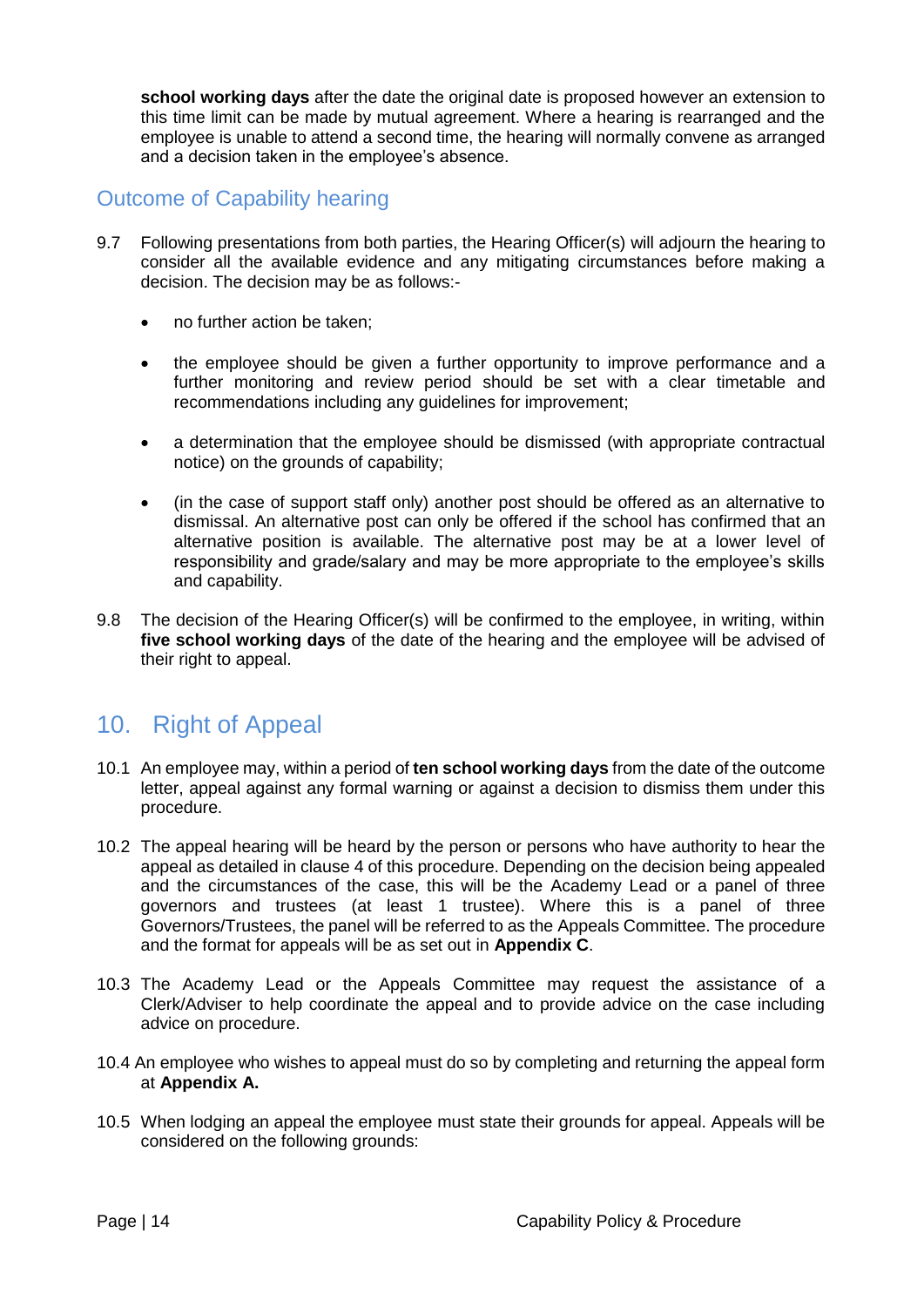**school working days** after the date the original date is proposed however an extension to this time limit can be made by mutual agreement. Where a hearing is rearranged and the employee is unable to attend a second time, the hearing will normally convene as arranged and a decision taken in the employee's absence.

#### Outcome of Capability hearing

- 9.7 Following presentations from both parties, the Hearing Officer(s) will adjourn the hearing to consider all the available evidence and any mitigating circumstances before making a decision. The decision may be as follows:-
	- no further action be taken:
	- the employee should be given a further opportunity to improve performance and a further monitoring and review period should be set with a clear timetable and recommendations including any guidelines for improvement;
	- a determination that the employee should be dismissed (with appropriate contractual notice) on the grounds of capability;
	- (in the case of support staff only) another post should be offered as an alternative to dismissal. An alternative post can only be offered if the school has confirmed that an alternative position is available. The alternative post may be at a lower level of responsibility and grade/salary and may be more appropriate to the employee's skills and capability.
- 9.8 The decision of the Hearing Officer(s) will be confirmed to the employee, in writing, within **five school working days** of the date of the hearing and the employee will be advised of their right to appeal.

## <span id="page-13-0"></span>10. Right of Appeal

- 10.1 An employee may, within a period of **ten school working days** from the date of the outcome letter, appeal against any formal warning or against a decision to dismiss them under this procedure.
- 10.2 The appeal hearing will be heard by the person or persons who have authority to hear the appeal as detailed in clause 4 of this procedure. Depending on the decision being appealed and the circumstances of the case, this will be the Academy Lead or a panel of three governors and trustees (at least 1 trustee). Where this is a panel of three Governors/Trustees, the panel will be referred to as the Appeals Committee. The procedure and the format for appeals will be as set out in **[Appendix C](#page-19-0)**.
- 10.3 The Academy Lead or the Appeals Committee may request the assistance of a Clerk/Adviser to help coordinate the appeal and to provide advice on the case including advice on procedure.
- 10.4 An employee who wishes to appeal must do so by completing and returning the appeal form at **[Appendix A.](#page-15-0)**
- 10.5 When lodging an appeal the employee must state their grounds for appeal. Appeals will be considered on the following grounds: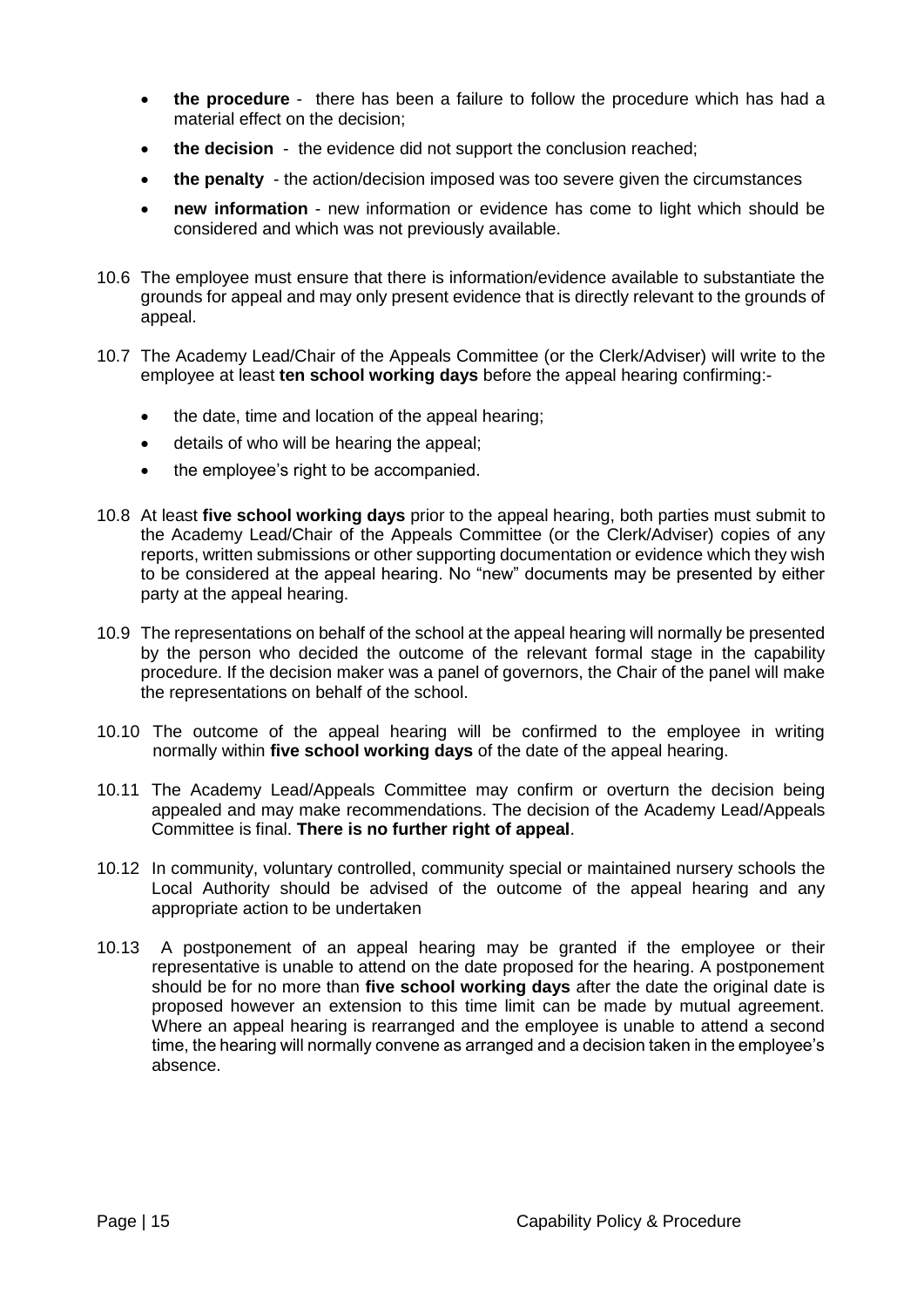- **the procedure** there has been a failure to follow the procedure which has had a material effect on the decision;
- the decision the evidence did not support the conclusion reached;
- **the penalty** the action/decision imposed was too severe given the circumstances
- **new information**  new information or evidence has come to light which should be considered and which was not previously available.
- 10.6 The employee must ensure that there is information/evidence available to substantiate the grounds for appeal and may only present evidence that is directly relevant to the grounds of appeal.
- 10.7 The Academy Lead/Chair of the Appeals Committee (or the Clerk/Adviser) will write to the employee at least **ten school working days** before the appeal hearing confirming:-
	- the date, time and location of the appeal hearing;
	- details of who will be hearing the appeal;
	- the employee's right to be accompanied.
- 10.8 At least **five school working days** prior to the appeal hearing, both parties must submit to the Academy Lead/Chair of the Appeals Committee (or the Clerk/Adviser) copies of any reports, written submissions or other supporting documentation or evidence which they wish to be considered at the appeal hearing. No "new" documents may be presented by either party at the appeal hearing.
- 10.9 The representations on behalf of the school at the appeal hearing will normally be presented by the person who decided the outcome of the relevant formal stage in the capability procedure. If the decision maker was a panel of governors, the Chair of the panel will make the representations on behalf of the school.
- 10.10 The outcome of the appeal hearing will be confirmed to the employee in writing normally within **five school working days** of the date of the appeal hearing.
- 10.11 The Academy Lead/Appeals Committee may confirm or overturn the decision being appealed and may make recommendations. The decision of the Academy Lead/Appeals Committee is final. **There is no further right of appeal**.
- 10.12 In community, voluntary controlled, community special or maintained nursery schools the Local Authority should be advised of the outcome of the appeal hearing and any appropriate action to be undertaken
- 10.13 A postponement of an appeal hearing may be granted if the employee or their representative is unable to attend on the date proposed for the hearing. A postponement should be for no more than **five school working days** after the date the original date is proposed however an extension to this time limit can be made by mutual agreement. Where an appeal hearing is rearranged and the employee is unable to attend a second time, the hearing will normally convene as arranged and a decision taken in the employee's absence.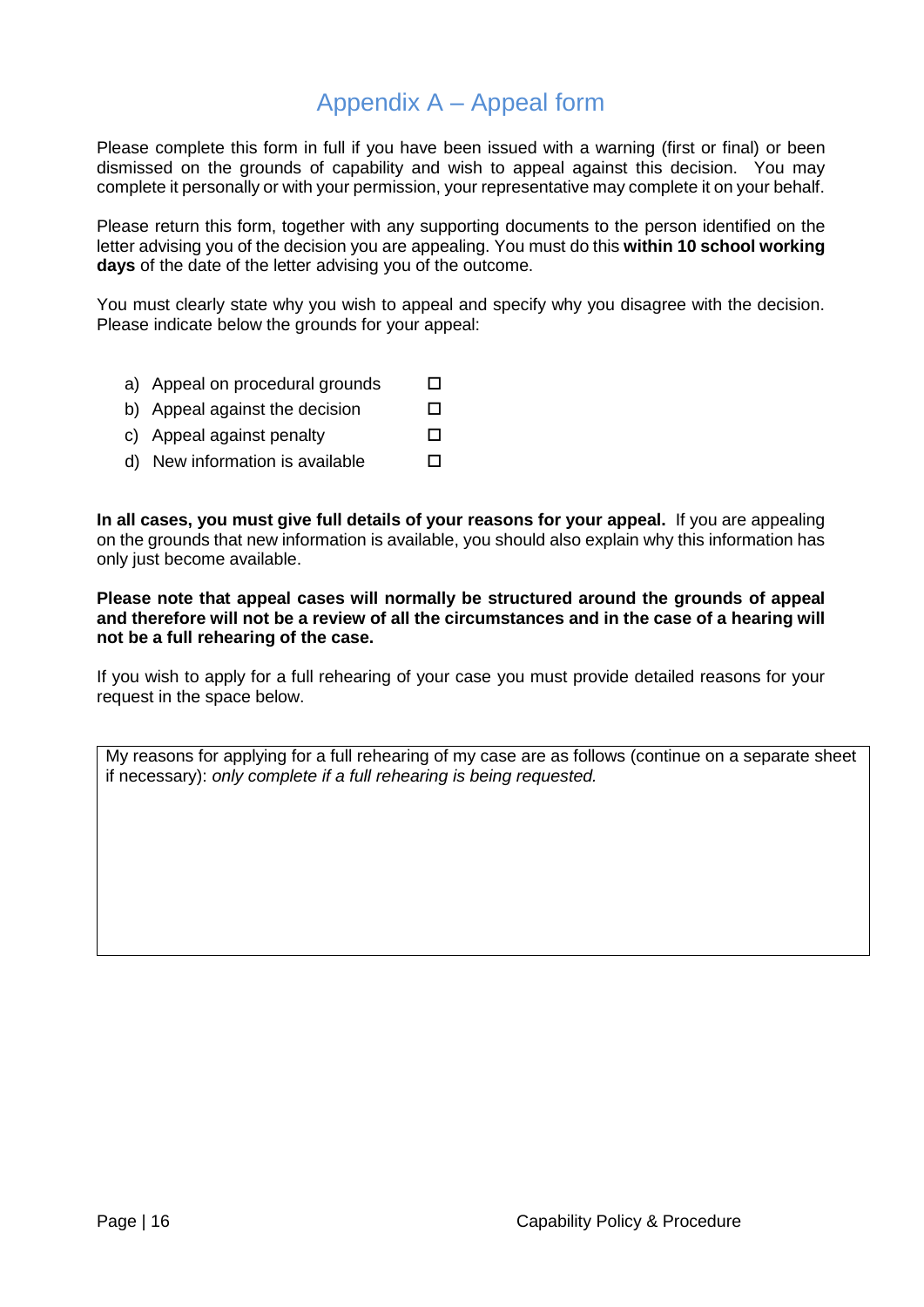## Appendix A – Appeal form

<span id="page-15-0"></span>Please complete this form in full if you have been issued with a warning (first or final) or been dismissed on the grounds of capability and wish to appeal against this decision. You may complete it personally or with your permission, your representative may complete it on your behalf.

Please return this form, together with any supporting documents to the person identified on the letter advising you of the decision you are appealing. You must do this **within 10 school working days** of the date of the letter advising you of the outcome.

You must clearly state why you wish to appeal and specify why you disagree with the decision. Please indicate below the grounds for your appeal:

- a) Appeal on procedural grounds  $\square$
- b) Appeal against the decision
- c) Appeal against penalty
- d) New information is available

**In all cases, you must give full details of your reasons for your appeal.** If you are appealing on the grounds that new information is available, you should also explain why this information has only just become available.

**Please note that appeal cases will normally be structured around the grounds of appeal and therefore will not be a review of all the circumstances and in the case of a hearing will not be a full rehearing of the case.**

If you wish to apply for a full rehearing of your case you must provide detailed reasons for your request in the space below.

My reasons for applying for a full rehearing of my case are as follows (continue on a separate sheet if necessary): *only complete if a full rehearing is being requested.*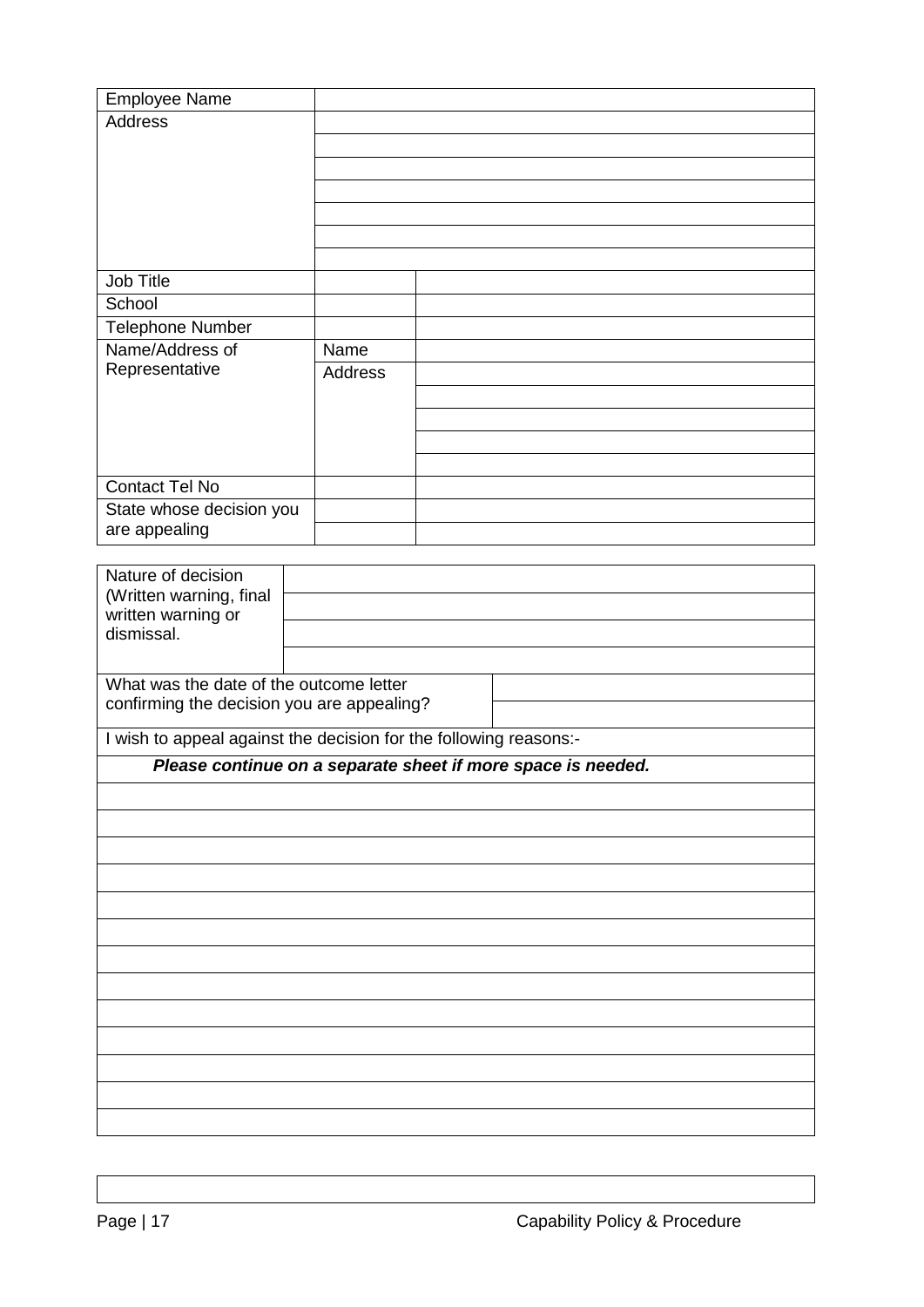| <b>Employee Name</b>     |         |  |
|--------------------------|---------|--|
| Address                  |         |  |
|                          |         |  |
|                          |         |  |
|                          |         |  |
|                          |         |  |
|                          |         |  |
|                          |         |  |
| Job Title                |         |  |
| School                   |         |  |
| <b>Telephone Number</b>  |         |  |
| Name/Address of          | Name    |  |
| Representative           | Address |  |
|                          |         |  |
|                          |         |  |
|                          |         |  |
|                          |         |  |
| <b>Contact Tel No</b>    |         |  |
| State whose decision you |         |  |
| are appealing            |         |  |

| Nature of decision<br>(Written warning, final<br>written warning or<br>dismissal.     |                                                                   |  |
|---------------------------------------------------------------------------------------|-------------------------------------------------------------------|--|
| What was the date of the outcome letter<br>confirming the decision you are appealing? |                                                                   |  |
|                                                                                       | I wish to appeal against the decision for the following reasons:- |  |
|                                                                                       | Please continue on a separate sheet if more space is needed.      |  |
|                                                                                       |                                                                   |  |
|                                                                                       |                                                                   |  |
|                                                                                       |                                                                   |  |
|                                                                                       |                                                                   |  |
|                                                                                       |                                                                   |  |
|                                                                                       |                                                                   |  |
|                                                                                       |                                                                   |  |
|                                                                                       |                                                                   |  |
|                                                                                       |                                                                   |  |
|                                                                                       |                                                                   |  |
|                                                                                       |                                                                   |  |
|                                                                                       |                                                                   |  |
|                                                                                       |                                                                   |  |
|                                                                                       |                                                                   |  |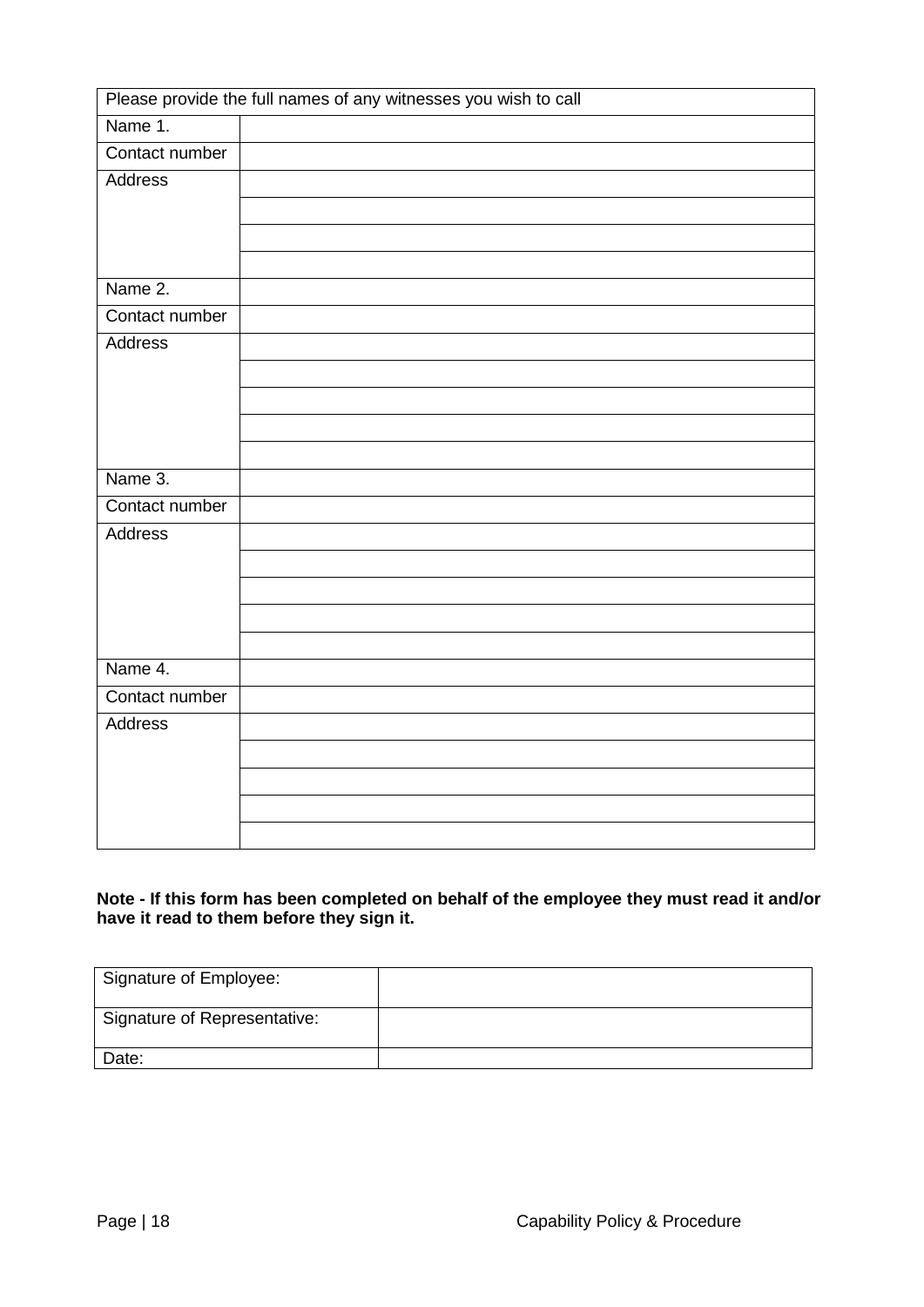| Please provide the full names of any witnesses you wish to call |  |  |
|-----------------------------------------------------------------|--|--|
| Name 1.                                                         |  |  |
| Contact number                                                  |  |  |
| <b>Address</b>                                                  |  |  |
|                                                                 |  |  |
|                                                                 |  |  |
|                                                                 |  |  |
| Name 2.                                                         |  |  |
| Contact number                                                  |  |  |
| Address                                                         |  |  |
|                                                                 |  |  |
|                                                                 |  |  |
|                                                                 |  |  |
|                                                                 |  |  |
| Name 3.                                                         |  |  |
| Contact number                                                  |  |  |
| <b>Address</b>                                                  |  |  |
|                                                                 |  |  |
|                                                                 |  |  |
|                                                                 |  |  |
|                                                                 |  |  |
| Name 4.                                                         |  |  |
| Contact number                                                  |  |  |
| Address                                                         |  |  |
|                                                                 |  |  |
|                                                                 |  |  |
|                                                                 |  |  |
|                                                                 |  |  |

#### **Note - If this form has been completed on behalf of the employee they must read it and/or have it read to them before they sign it.**

| Signature of Employee:       |  |
|------------------------------|--|
| Signature of Representative: |  |
| Date:                        |  |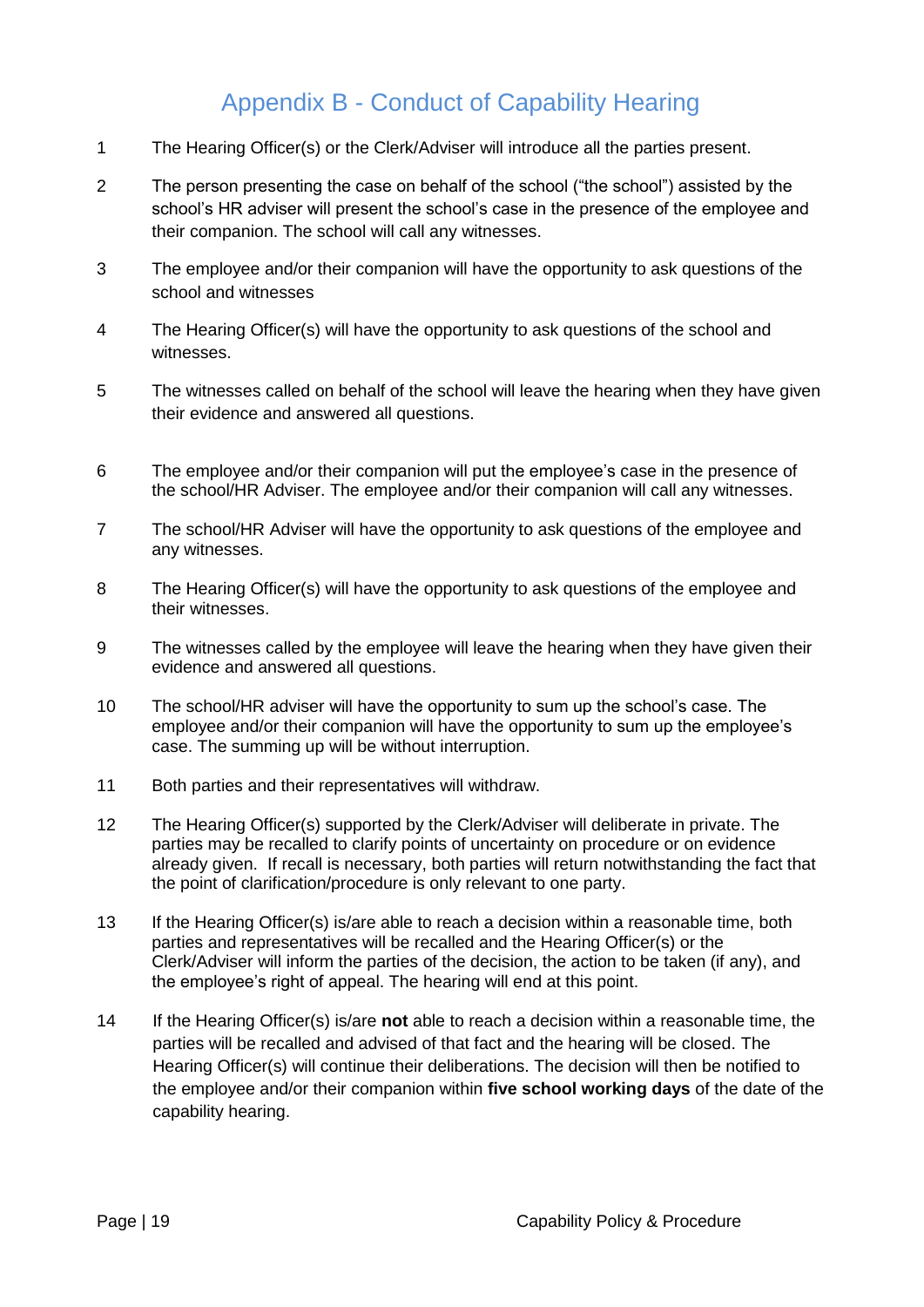## Appendix B - Conduct of Capability Hearing

- <span id="page-18-0"></span>1 The Hearing Officer(s) or the Clerk/Adviser will introduce all the parties present.
- 2 The person presenting the case on behalf of the school ("the school") assisted by the school's HR adviser will present the school's case in the presence of the employee and their companion. The school will call any witnesses.
- 3 The employee and/or their companion will have the opportunity to ask questions of the school and witnesses
- 4 The Hearing Officer(s) will have the opportunity to ask questions of the school and witnesses.
- 5 The witnesses called on behalf of the school will leave the hearing when they have given their evidence and answered all questions.
- 6 The employee and/or their companion will put the employee's case in the presence of the school/HR Adviser. The employee and/or their companion will call any witnesses.
- 7 The school/HR Adviser will have the opportunity to ask questions of the employee and any witnesses.
- 8 The Hearing Officer(s) will have the opportunity to ask questions of the employee and their witnesses.
- 9 The witnesses called by the employee will leave the hearing when they have given their evidence and answered all questions.
- 10 The school/HR adviser will have the opportunity to sum up the school's case. The employee and/or their companion will have the opportunity to sum up the employee's case. The summing up will be without interruption.
- 11 Both parties and their representatives will withdraw.
- 12 The Hearing Officer(s) supported by the Clerk/Adviser will deliberate in private. The parties may be recalled to clarify points of uncertainty on procedure or on evidence already given. If recall is necessary, both parties will return notwithstanding the fact that the point of clarification/procedure is only relevant to one party.
- 13 If the Hearing Officer(s) is/are able to reach a decision within a reasonable time, both parties and representatives will be recalled and the Hearing Officer(s) or the Clerk/Adviser will inform the parties of the decision, the action to be taken (if any), and the employee's right of appeal. The hearing will end at this point.
- 14 If the Hearing Officer(s) is/are **not** able to reach a decision within a reasonable time, the parties will be recalled and advised of that fact and the hearing will be closed. The Hearing Officer(s) will continue their deliberations. The decision will then be notified to the employee and/or their companion within **five school working days** of the date of the capability hearing.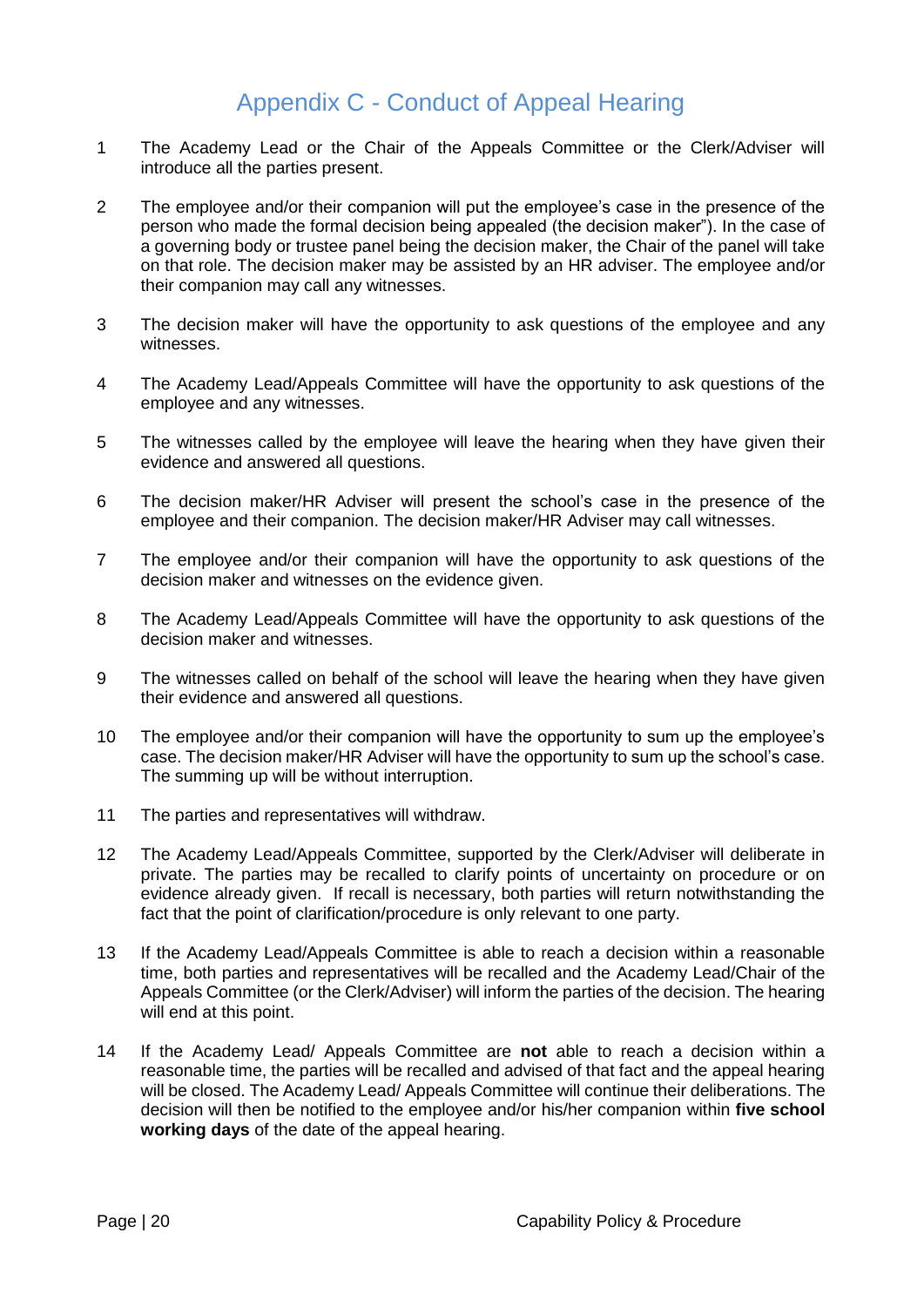## Appendix C - Conduct of Appeal Hearing

- <span id="page-19-0"></span>1 The Academy Lead or the Chair of the Appeals Committee or the Clerk/Adviser will introduce all the parties present.
- 2 The employee and/or their companion will put the employee's case in the presence of the person who made the formal decision being appealed (the decision maker"). In the case of a governing body or trustee panel being the decision maker, the Chair of the panel will take on that role. The decision maker may be assisted by an HR adviser. The employee and/or their companion may call any witnesses.
- 3 The decision maker will have the opportunity to ask questions of the employee and any witnesses.
- 4 The Academy Lead/Appeals Committee will have the opportunity to ask questions of the employee and any witnesses.
- 5 The witnesses called by the employee will leave the hearing when they have given their evidence and answered all questions.
- 6 The decision maker/HR Adviser will present the school's case in the presence of the employee and their companion. The decision maker/HR Adviser may call witnesses.
- 7 The employee and/or their companion will have the opportunity to ask questions of the decision maker and witnesses on the evidence given.
- 8 The Academy Lead/Appeals Committee will have the opportunity to ask questions of the decision maker and witnesses.
- 9 The witnesses called on behalf of the school will leave the hearing when they have given their evidence and answered all questions.
- 10 The employee and/or their companion will have the opportunity to sum up the employee's case. The decision maker/HR Adviser will have the opportunity to sum up the school's case. The summing up will be without interruption.
- 11 The parties and representatives will withdraw.
- 12 The Academy Lead/Appeals Committee, supported by the Clerk/Adviser will deliberate in private. The parties may be recalled to clarify points of uncertainty on procedure or on evidence already given. If recall is necessary, both parties will return notwithstanding the fact that the point of clarification/procedure is only relevant to one party.
- 13 If the Academy Lead/Appeals Committee is able to reach a decision within a reasonable time, both parties and representatives will be recalled and the Academy Lead/Chair of the Appeals Committee (or the Clerk/Adviser) will inform the parties of the decision. The hearing will end at this point.
- 14 If the Academy Lead/ Appeals Committee are **not** able to reach a decision within a reasonable time, the parties will be recalled and advised of that fact and the appeal hearing will be closed. The Academy Lead/ Appeals Committee will continue their deliberations. The decision will then be notified to the employee and/or his/her companion within **five school working days** of the date of the appeal hearing.